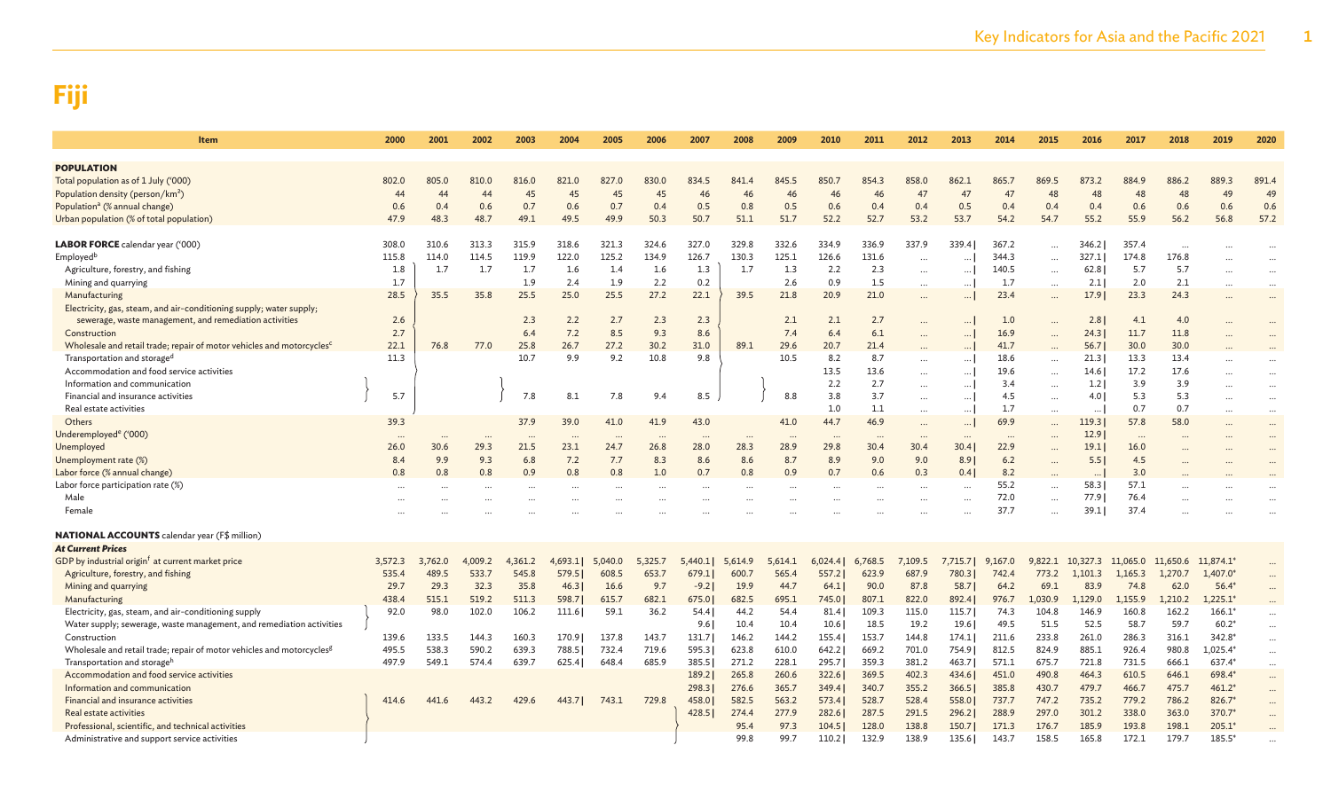| Item                                                                              | 2000     | 2001     | 2002     | 2003      | 2004                 | 2005     | 2006                 | 2007     | 2008     | 2009      | 2010     | 2011      | 2012      | 2013      | 2014      | 2015      | 2016      | 2017     | 2018     | 2019        | 2020      |
|-----------------------------------------------------------------------------------|----------|----------|----------|-----------|----------------------|----------|----------------------|----------|----------|-----------|----------|-----------|-----------|-----------|-----------|-----------|-----------|----------|----------|-------------|-----------|
| <b>POPULATION</b>                                                                 |          |          |          |           |                      |          |                      |          |          |           |          |           |           |           |           |           |           |          |          |             |           |
| Total population as of 1 July ('000)                                              | 802.0    | 805.0    | 810.0    | 816.0     | 821.0                | 827.0    | 830.0                | 834.5    | 841.4    | 845.5     | 850.7    | 854.3     | 858.0     | 862.1     | 865.7     | 869.5     | 873.2     | 884.9    | 886.2    | 889.3       | 891.4     |
| Population density (person/km <sup>2</sup> )                                      | 44       | 44       | 44       | 45        | 45                   | 45       | 45                   | 46       | 46       | 46        | 46       | 46        | 47        | 47        | 47        | 48        | 48        | 48       | 48       | 49          | 49        |
| Population <sup>a</sup> (% annual change)                                         | 0.6      | 0.4      | 0.6      | 0.7       | 0.6                  | 0.7      | 0.4                  | 0.5      | 0.8      | 0.5       | 0.6      | 0.4       | 0.4       | 0.5       | 0.4       | 0.4       | 0.4       | 0.6      | 0.6      | 0.6         | 0.6       |
| Urban population (% of total population)                                          | 47.9     | 48.3     | 48.7     | 49.1      | 49.5                 | 49.9     | 50.3                 | 50.7     | 51.1     | 51.7      | 52.2     | 52.7      | 53.2      | 53.7      | 54.2      | 54.7      | 55.2      | 55.9     | 56.2     | 56.8        | 57.2      |
|                                                                                   |          |          |          |           |                      |          |                      |          |          |           |          |           |           |           |           |           |           |          |          |             |           |
| <b>LABOR FORCE</b> calendar year ('000)                                           | 308.0    | 310.6    | 313.3    | 315.9     | 318.6                | 321.3    | 324.6                | 327.0    | 329.8    | 332.6     | 334.9    | 336.9     | 337.9     | 339.4     | 367.2     |           | 346.2     | 357.4    |          |             | $\cdots$  |
| Employed <sup>b</sup>                                                             | 115.8    | 114.0    | 114.5    | 119.9     | 122.0                | 125.2    | 134.9                | 126.7    | 130.3    | 125.1     | 126.6    | 131.6     | $\cdots$  | $\ddotsc$ | 344.3     | $\ddotsc$ | 327.1     | 174.8    | 176.8    |             |           |
| Agriculture, forestry, and fishing                                                | 1.8      | 1.7      | 1.7      | 1.7       | 1.6                  | 1.4      | 1.6                  | 1.3      | 1.7      | 1.3       | 2.2      | 2.3       | $\cdots$  | $\cdots$  | 140.5     | $\cdots$  | 62.8      | 5.7      | 5.7      | $\ddotsc$   | $\ddotsc$ |
| Mining and quarrying                                                              | 1.7      |          |          | 1.9       | 2.4                  | 1.9      | 2.2                  | 0.2      |          | 2.6       | 0.9      | 1.5       |           | $\cdots$  | 1.7       |           | 2.1       | 2.0      | 2.1      |             |           |
| Manufacturing                                                                     | 28.5     | 35.5     | 35.8     | 25.5      | 25.0                 | 25.5     | 27.2                 | 22.1     | 39.5     | 21.8      | 20.9     | 21.0      | $\cdots$  | $\cdots$  | 23.4      | $\cdots$  | 17.9      | 23.3     | 24.3     |             | $\ddots$  |
| Electricity, gas, steam, and air-conditioning supply; water supply;               |          |          |          |           |                      |          |                      |          |          |           |          |           |           |           |           |           |           |          |          |             |           |
| sewerage, waste management, and remediation activities                            | 2.6      |          |          | 2.3       | 2.2                  | 2.7      | 2.3                  | 2.3      |          | 2.1       | 2.1      | 2.7       | $\ddotsc$ | $\cdots$  | 1.0       | $\ddotsc$ | 2.8       | 4.1      | 4.0      |             |           |
| Construction                                                                      | 2.7      |          |          | 6.4       | 7.2                  | 8.5      | 9.3                  | 8.6      |          | 7.4       | 6.4      | 6.1       | $\ddotsc$ | $\cdots$  | 16.9      | $\ddotsc$ | 24.3      | 11.7     | 11.8     |             |           |
| Wholesale and retail trade; repair of motor vehicles and motorcycles <sup>c</sup> | 22.1     | 76.8     | 77.0     | 25.8      | 26.7                 | 27.2     | 30.2                 | 31.0     | 89.1     | 29.6      | 20.7     | 21.4      |           | $\cdots$  | 41.7      |           | 56.7      | 30.0     | 30.0     |             |           |
| Transportation and storage <sup>c</sup>                                           | 11.3     |          |          | 10.7      | 9.9                  | 9.2      | 10.8                 | 9.8      |          | 10.5      | 8.2      | 8.7       |           | $\cdots$  | 18.6      | $\cdots$  | 21.3      | 13.3     | 13.4     | $\ddotsc$   | $\ddotsc$ |
| Accommodation and food service activities                                         |          |          |          |           |                      |          |                      |          |          |           | 13.5     | 13.6      | $\cdots$  | $\cdots$  | 19.6      | $\cdots$  | 14.6      | 17.2     | 17.6     |             | $\ddotsc$ |
| Information and communication                                                     |          |          |          |           |                      |          |                      |          |          |           | 2.2      | 2.7       | $\cdots$  | $\cdots$  | 3.4       | $\ddotsc$ | 1.2       | 3.9      | 3.9      |             | $\ddots$  |
| Financial and insurance activities                                                | 5.7      |          |          | 7.8       | 8.1                  | 7.8      | 9.4                  | 8.5      |          | 8.8       | 3.8      | 3.7       |           | $\ldots$  | 4.5       | $\cdots$  | 4.0       | 5.3      | 5.3      |             |           |
| Real estate activities                                                            |          |          |          |           |                      |          |                      |          |          |           | 1.0      | 1.1       | $\cdots$  | $\cdots$  | 1.7       | $\cdots$  | $\cdots$  | 0.7      | 0.7      |             | $\cdots$  |
| Others                                                                            | 39.3     |          |          | 37.9      | 39.0                 | 41.0     | 41.9                 | 43.0     |          | 41.0      | 44.7     | 46.9      | $\cdots$  | $\cdots$  | 69.9      | $\cdots$  | 119.3     | 57.8     | 58.0     |             | $\ddots$  |
| Underemployed <sup>e</sup> ('000)                                                 | $\cdots$ | $\cdots$ | $\ddots$ | $\ddotsc$ | $\cdot$ .            | $\cdots$ |                      | $\ddots$ | $\cdots$ | $\ddotsc$ | $\cdots$ |           | $\cdots$  | $\cdots$  | $\ddotsc$ | $\ddotsc$ | 12.9      | $\cdots$ |          |             | $\ddots$  |
| Unemployed                                                                        | 26.0     | 30.6     | 29.3     | 21.5      | 23.1                 | 24.7     | 26.8                 | 28.0     | 28.3     | 28.9      | 29.8     | 30.4      | 30.4      | 30.4      | 22.9      | $\cdots$  | 19.1      | 16.0     |          |             |           |
| Unemployment rate (%)                                                             | 8.4      | 9.9      | 9.3      | 6.8       | 7.2                  | 7.7      | 8.3                  | 8.6      | 8.6      | 8.7       | 8.9      | 9.0       | 9.0       | 8.91      | 6.2       | $\cdots$  | 5.5       | 4.5      |          |             |           |
| Labor force (% annual change)                                                     | 0.8      | 0.8      | 0.8      | 0.9       | 0.8                  | 0.8      | 1.0                  | 0.7      | 0.8      | 0.9       | 0.7      | 0.6       | 0.3       | 0.4       | 8.2       | $\ddotsc$ | $\ddotsc$ | 3.0      |          |             |           |
| Labor force participation rate (%)                                                |          |          |          |           | $\ddot{\phantom{a}}$ |          | $\ddot{\phantom{a}}$ |          |          | $\ddotsc$ |          | $\ddotsc$ |           | $\ddotsc$ | 55.2      | $\cdots$  | 58.3      | 57.1     |          |             |           |
| Male                                                                              |          |          |          |           |                      |          |                      |          |          |           |          |           |           |           | 72.0      | $\cdots$  | 77.9      | 76.4     |          |             |           |
| Female                                                                            |          |          |          |           |                      |          |                      |          |          |           |          |           |           |           | 37.7      |           | 39.1      | 37.4     |          |             |           |
|                                                                                   |          |          |          |           |                      |          |                      |          |          |           |          |           |           |           |           |           |           |          |          |             |           |
| <b>NATIONAL ACCOUNTS</b> calendar year (F\$ million)                              |          |          |          |           |                      |          |                      |          |          |           |          |           |           |           |           |           |           |          |          |             |           |
| <b>At Current Prices</b>                                                          |          |          |          |           |                      |          |                      |          |          |           |          |           |           |           |           |           |           |          |          |             |           |
| GDP by industrial origin <sup>f</sup> at current market price                     | 3.572.3  | 3.762.0  | 4,009.2  | 4.361.2   | 4,693.1              | 5,040.0  | 5.325.7              | 5,440.1  | 5.614.9  | 5.614.1   | 6.024.4  | 6.768.5   | 7,109.5   | 7.715.7   | 9.167.0   | 9.822.1   | 10,327.3  | 11,065.0 | 11,650.6 | $11,874.1*$ | $\cdots$  |
| Agriculture, forestry, and fishing                                                | 535.4    | 489.5    | 533.7    | 545.8     | 579.5                | 608.5    | 653.7                | 679.1    | 600.7    | 565.4     | 557.2    | 623.9     | 687.9     | 780.3     | 742.4     | 773.2     | 1.101.3   | 1,165.3  | 1,270.7  | $1,407.0*$  | $\cdots$  |
| Mining and quarrying                                                              | 29.7     | 29.3     | 32.3     | 35.8      | 46.3                 | 16.6     | 9.7                  | $-9.2$   | 19.9     | 44.7      | 64.1     | 90.0      | 87.8      | 58.7      | 64.2      | 69.1      | 83.9      | 74.8     | 62.0     | $56.4*$     | $\cdots$  |
| Manufacturing                                                                     | 438.4    | 515.1    | 519.2    | 511.3     | 598.7                | 615.7    | 682.1                | 675.0    | 682.5    | 695.1     | 745.0    | 807.1     | 822.0     | 892.4     | 976.7     | 1.030.9   | 1.129.0   | 1.155.9  | 1.210.2  | $1.225.1*$  |           |
| Electricity, gas, steam, and air-conditioning supply                              | 92.0     | 98.0     | 102.0    | 106.2     | 111.6                | 59.1     | 36.2                 | 54.4     | 44.2     | 54.4      | 81.4     | 109.3     | 115.0     | 115.7     | 74.3      | 104.8     | 146.9     | 160.8    | 162.2    | $166.1*$    | $\cdots$  |
| Water supply; sewerage, waste management, and remediation activities              |          |          |          |           |                      |          |                      | 9.6      | 10.4     | 10.4      | 10.6     | 18.5      | 19.2      | 19.6      | 49.5      | 51.5      | 52.5      | 58.7     | 59.7     | $60.2*$     | $\cdots$  |
| Construction                                                                      | 139.6    | 133.5    | 144.3    | 160.3     | 170.9                | 137.8    | 143.7                | 131.7    | 146.2    | 144.2     | 155.4    | 153.7     | 144.8     | 174.1     | 211.6     | 233.8     | 261.0     | 286.3    | 316.1    | 342.8*      | $\cdots$  |
| Wholesale and retail trade; repair of motor vehicles and motorcycles <sup>g</sup> | 495.5    | 538.3    | 590.2    | 639.3     | 788.5                | 732.4    | 719.6                | 595.3    | 623.8    | 610.0     | 642.2    | 669.2     | 701.0     | 754.9     | 812.5     | 824.9     | 885.1     | 926.4    | 980.8    | $1,025.4*$  | $\cdots$  |
| Transportation and storage <sup>r</sup>                                           | 497.9    | 549.1    | 574.4    | 639.7     | 625.4                | 648.4    | 685.9                | 385.5    | 271.2    | 228.1     | 295.7    | 359.3     | 381.2     | 463.7     | 571.1     | 675.7     | 721.8     | 731.5    | 666.1    | $637.4*$    | $\cdots$  |
| Accommodation and food service activities                                         |          |          |          |           |                      |          |                      | 189.2    | 265.8    | 260.6     | 322.6    | 369.5     | 402.3     | 434.6     | 451.0     | 490.8     | 464.3     | 610.5    | 646.1    | 698.4*      | $\dots$   |
| Information and communication                                                     |          |          |          |           |                      |          |                      | 298.3    | 276.6    | 365.7     | 349.4    | 340.7     | 355.2     | 366.5     | 385.8     | 430.7     | 479.7     | 466.7    | 475.7    | $461.2*$    | $\cdots$  |
| Financial and insurance activities                                                | 414.6    | 441.6    | 443.2    | 429.6     | 443.7                | 743.1    | 729.8                | 458.0    | 582.5    | 563.2     | 573.4    | 528.7     | 528.4     | 558.0     | 737.7     | 747.2     | 735.2     | 779.2    | 786.2    | $826.7*$    | $\cdots$  |
| Real estate activities                                                            |          |          |          |           |                      |          |                      | 428.5    | 274.4    | 277.9     | 282.6    | 287.5     | 291.5     | 296.2     | 288.9     | 297.0     | 301.2     | 338.0    | 363.0    | 370.7*      | $\cdots$  |
| Professional, scientific, and technical activities                                |          |          |          |           |                      |          |                      |          | 95.4     | 97.3      | 104.5    | 128.0     | 138.8     | 150.7     | 171.3     | 176.7     | 185.9     | 193.8    | 198.1    | $205.1*$    |           |
| Administrative and support service activities                                     |          |          |          |           |                      |          |                      |          | 99.8     | 99.7      | 110.2    | 132.9     | 138.9     | 135.6     | 143.7     | 158.5     | 165.8     | 172.1    | 179.7    | 185.5*      |           |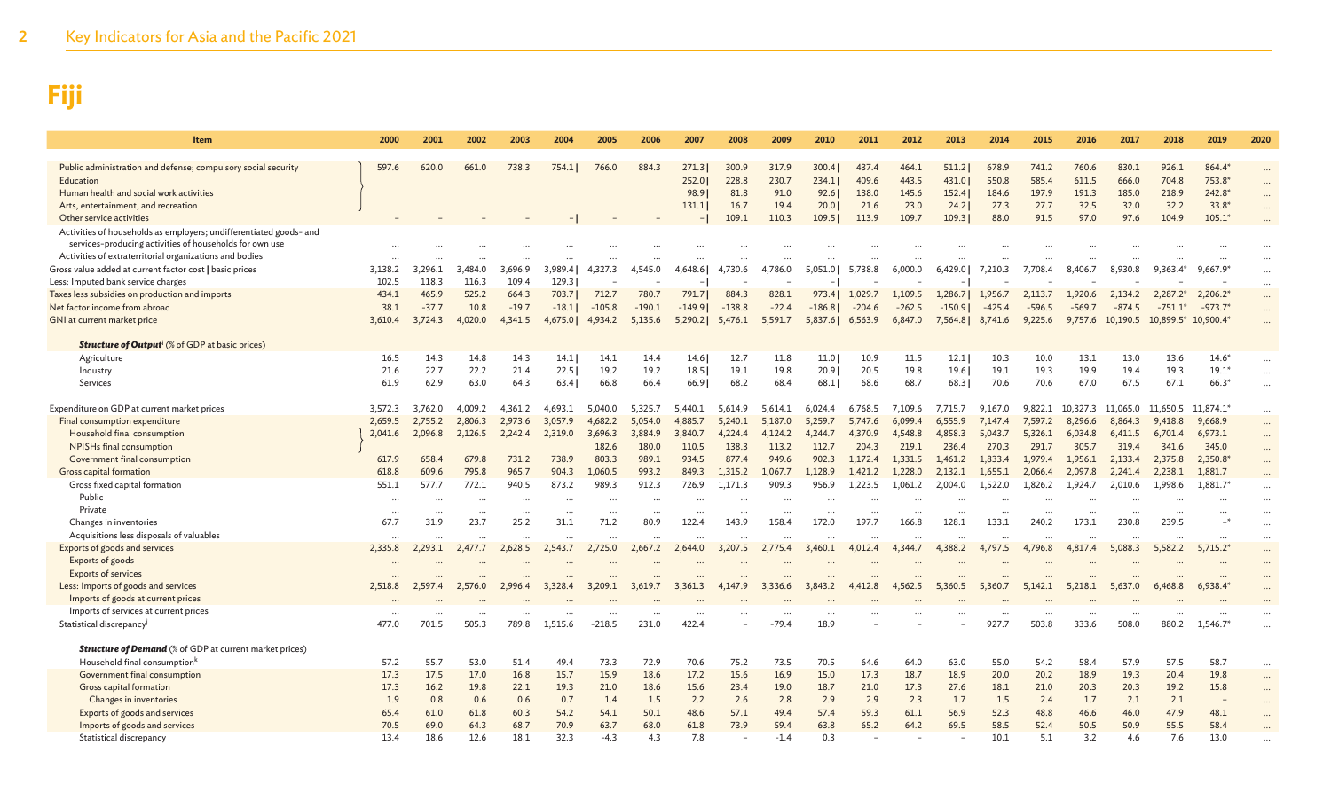| Item                                                                      | 2000     | 2001    | 2002      | 2003     | 2004     | 2005     | 2006     | 2007     | 2008      | 2009    | 2010     | 2011     | 2012     | 2013     | 2014     | 2015     | 2016     | 2017     | 2018                | 2019       | 2020     |
|---------------------------------------------------------------------------|----------|---------|-----------|----------|----------|----------|----------|----------|-----------|---------|----------|----------|----------|----------|----------|----------|----------|----------|---------------------|------------|----------|
| Public administration and defense; compulsory social security             | 597.6    | 620.0   | 661.0     | 738.3    | 754.11   | 766.0    | 884.3    | 271.3    | 300.9     | 317.9   | 300.4    | 437.4    | 464.1    | 511.2    | 678.9    | 741.2    | 760.6    | 830.1    | 926.1               | 864.4*     |          |
| Education                                                                 |          |         |           |          |          |          |          | 252.0    | 228.8     | 230.7   | 234.1    | 409.6    | 443.5    | 431.0    | 550.8    | 585.4    | 611.5    | 666.0    | 704.8               | 753.8*     |          |
| Human health and social work activities                                   |          |         |           |          |          |          |          | 98.9     | 81.8      | 91.0    | 92.6     | 138.0    | 145.6    | 152.4    | 184.6    | 197.9    | 191.3    | 185.0    | 218.9               | 242.8*     |          |
| Arts, entertainment, and recreation                                       |          |         |           |          |          |          |          | 131.1    | 16.7      | 19.4    | 20.01    | 21.6     | 23.0     | 24.2     | 27.3     | 27.7     | 32.5     | 32.0     | 32.2                | $33.8*$    |          |
| Other service activities                                                  |          |         |           |          |          |          |          |          | 109.1     | 110.3   | 109.5    | 113.9    | 109.7    | 109.3    | 88.0     | 91.5     | 97.0     | 97.6     | 104.9               | $105.1*$   |          |
| Activities of households as employers; undifferentiated goods- and        |          |         |           |          |          |          |          |          |           |         |          |          |          |          |          |          |          |          |                     |            |          |
| services-producing activities of households for own use                   |          |         |           |          |          |          |          |          |           |         |          |          |          |          |          |          |          |          |                     |            |          |
| Activities of extraterritorial organizations and bodies                   |          |         |           |          |          |          |          |          |           |         |          |          |          |          |          |          |          |          |                     |            |          |
| Gross value added at current factor cost   basic prices                   | 3,138.2  | 3.296.1 | 484.0     | 3.696.9  | 3.989.41 | 4.327.3  | 4.545.0  | 4.648.6  | 4.730.6   | 4.786.0 | 5,051.0  | 5.738.8  | 6.000.0  | 6,429.0  | 7.210.3  | 7.708.4  | 8,406.7  | 8.930.8  | $9.363.4*$          | 9.667.9    | $\cdots$ |
| Less: Imputed bank service charges                                        | 102.5    | 118.3   | 116.3     | 109.4    | 129.3    |          |          |          |           |         |          |          |          |          |          |          |          |          |                     |            |          |
| Taxes less subsidies on production and imports                            | 434.1    | 465.9   | 525.2     | 664.3    | 703.7    | 712.7    | 780.7    | 791.7    | 884.3     | 828.1   | 973.4    | 1,029.7  | 1,109.5  | 1,286.7  | 1,956.7  | 2,113.7  | 1,920.6  | 2,134.2  | $2,287.2*$          | 2,206.2    | $\cdots$ |
| Net factor income from abroad                                             | 38.1     | $-37.7$ | 10.8      | $-19.7$  | $-18.1$  | $-105.8$ | $-190.1$ | $-149.9$ | $-138.8$  | $-22.4$ | $-186.8$ | $-204.6$ | $-262.5$ | $-150.9$ | $-425.4$ | $-596.5$ | $-569.7$ | $-874.5$ | $-751.1*$           | $-973.7'$  | $\cdots$ |
| GNI at current market price                                               | 3,610.4  | 3,724.3 | 4,020.0   | 4,341.5  | 4,675.0  | 4.934.2  | 5,135.6  | 5,290.2  | 5,476.1   | 5,591.7 | 5,837.6  | 6,563.9  | 6,847.0  | 7,564.8  | 8,741.6  | 9,225.6  | 9,757.6  | 10,190.5 | 10,899.5* 10,900.4* |            |          |
| <b>Structure of Output<sup>i</sup></b> (% of GDP at basic prices)         |          |         |           |          |          |          |          |          |           |         |          |          |          |          |          |          |          |          |                     |            |          |
| Agriculture                                                               | 16.5     | 14.3    | 14.8      | 14.3     | 14.1     | 14.1     | 14.4     | 14.6     | 12.7      | 11.8    | 11.0     | 10.9     | 11.5     | 12.1     | 10.3     | 10.0     | 13.1     | 13.0     | 13.6                | $14.6*$    | $\cdots$ |
| Industry                                                                  | 21.6     | 22.7    | 22.2      | 21.4     | 22.5     | 19.2     | 19.2     | 18.5     | 19.1      | 19.8    | 20.9     | 20.5     | 19.8     | 19.6     | 19.1     | 19.3     | 19.9     | 19.4     | 19.3                | $19.1*$    | $\cdots$ |
| Services                                                                  | 61.9     | 62.9    | 63.0      | 64.3     | 63.41    | 66.8     | 66.4     | 66.9     | 68.2      | 68.4    | 68.1     | 68.6     | 68.7     | 68.3     | 70.6     | 70.6     | 67.0     | 67.5     | 67.1                | $66.3*$    | $\cdots$ |
| Expenditure on GDP at current market prices                               | 3,572.3  | 3,762.0 | 4,009.2   | 4,361.2  | 4,693.1  | 5,040.0  | 5,325.7  | 5,440.1  | 5,614.9   | 5,614.1 | 6,024.4  | 6,768.5  | 7,109.6  | 7,715.7  | 9,167.0  | 9,822.1  | 10,327.3 | 11,065.0 | 11,650.5            | 11,874.1*  | $\cdots$ |
| Final consumption expenditure                                             | 2,659.5  | 2,755.2 | 2.806.3   | 2,973.6  | 3.057.9  | 4.682.2  | 5,054.0  | 4,885.7  | 5,240.1   | 5,187.0 | 5.259.7  | 5,747.6  | 6.099.4  | 6,555.9  | 7.147.4  | 7,597.2  | 8.296.6  | 8,864.3  | 9,418.8             | 9,668.9    |          |
| Household final consumption                                               | 2,041.6  | 2,096.8 | 2,126.5   | 2,242.4  | 2,319.0  | 3,696.3  | 3,884.9  | 3,840.7  | 4,224.4   | 4,124.2 | 4,244.7  | 4,370.9  | 4,548.8  | 4,858.3  | 5,043.7  | 5,326.1  | 6,034.8  | 6,411.5  | 6,701.4             | 6,973.1    | $\cdots$ |
| NPISHs final consumption                                                  |          |         |           |          |          | 182.6    | 180.0    | 110.5    | 138.3     | 113.2   | 112.7    | 204.3    | 219.1    | 236.4    | 270.3    | 291.7    | 305.7    | 319.4    | 341.6               | 345.0      | $\cdots$ |
| Government final consumption                                              | 617.9    | 658.4   | 679.8     | 731.2    | 738.9    | 803.3    | 989.1    | 934.5    | 877.4     | 949.6   | 902.3    | 1.172.4  | 1,331.5  | 1,461.2  | 1.833.4  | 1.979.4  | 1,956.1  | 2,133.4  | 2,375.8             | 2,350.8    | $\cdots$ |
| Gross capital formation                                                   | 618.8    | 609.6   | 795.8     | 965.7    | 904.3    | 1,060.5  | 993.2    | 849.3    | 1,315.2   | 1,067.7 | 1,128.9  | 1,421.2  | 1,228.0  | 2,132.1  | 1,655.1  | 2,066.4  | 2,097.8  | 2,241.4  | 2,238.1             | 1,881.7    |          |
| Gross fixed capital formation                                             | 551.1    | 577.7   | 772.1     | 940.5    | 873.2    | 989.3    | 912.3    | 726.9    | 1.171.3   | 909.3   | 956.9    | 1.223.5  | 1.061.2  | 2.004.0  | 1.522.0  | 1.826.2  | 1.924.7  | 2.010.6  | 1.998.6             | 1.881.7    |          |
| Public                                                                    |          |         |           |          |          |          |          |          |           |         |          |          |          |          |          |          |          |          |                     |            |          |
| Private                                                                   | $\cdots$ |         |           |          |          |          |          |          |           |         |          |          |          |          |          |          |          |          |                     |            |          |
| Changes in inventories                                                    | 67.7     | 31.9    | 23.7      | 25.2     | 31.1     | 71.2     | 80.9     | 122.4    | 143.9     | 158.4   | 172.0    | 197.7    | 166.8    | 128.1    | 133.1    | 240.2    | 173.1    | 230.8    | 239.5               |            | $\cdots$ |
| Acquisitions less disposals of valuables                                  | $\cdots$ |         | $\ddotsc$ | $\cdots$ |          | $\cdots$ |          |          | $\ddotsc$ |         |          |          |          |          |          |          |          |          | $\ddotsc$           |            | $\cdots$ |
| Exports of goods and services                                             | 2,335.8  | 2,293.1 | 2,477.7   | 2,628.5  | 2,543.7  | 2,725.0  | 2,667.2  | 2,644.0  | 3,207.5   | 2,775.4 | 3.460.1  | 4,012.4  | 4.344.7  | 4.388.2  | 4,797.5  | 4,796.8  | 4,817.4  | 5,088.3  | 5,582.2             | $5,715.2*$ |          |
| Exports of goods                                                          |          |         |           |          |          |          |          |          |           |         |          |          |          |          |          |          |          |          |                     |            |          |
| <b>Exports of services</b>                                                |          |         |           |          | 3,328.4  | 3,209.1  |          |          |           |         | 3,843.2  | 4,412.8  | 4,562.5  | 5,360.5  |          |          |          |          |                     |            |          |
| Less: Imports of goods and services<br>Imports of goods at current prices | 2,518.8  | 2,597.4 | 2,576.0   | 2,996.4  |          |          | 3,619.7  | 3,361.3  | 4,147.9   | 3,336.6 |          |          |          |          | 5,360.7  | 5,142.1  | 5,218.1  | 5,637.0  | 6,468.8             | 6,938.4    |          |
| Imports of services at current prices                                     |          |         |           |          |          |          |          |          |           |         |          |          |          |          |          |          |          |          |                     |            |          |
| Statistical discrepancy <sup>j</sup>                                      | 477.0    | 701.5   | 505.3     | 789.8    | 1,515.6  | $-218.5$ | 231.0    | 422.4    |           | $-79.4$ | 18.9     |          |          |          | 927.7    | 503.8    | 333.6    | 508.0    | 880.2               | 1,546.7    |          |
|                                                                           |          |         |           |          |          |          |          |          |           |         |          |          |          |          |          |          |          |          |                     |            |          |
| <b>Structure of Demand</b> (% of GDP at current market prices)            |          |         |           |          |          |          |          |          |           |         |          |          |          |          |          |          |          |          |                     |            |          |
| Household final consumption <sup>k</sup>                                  | 57.2     | 55.7    | 53.0      | 51.4     | 49.4     | 73.3     | 72.9     | 70.6     | 75.2      | 73.5    | 70.5     | 64.6     | 64.0     | 63.0     | 55.0     | 54.2     | 58.4     | 57.9     | 57.5                | 58.7       | $\cdots$ |
| Government final consumption                                              | 17.3     | 17.5    | 17.0      | 16.8     | 15.7     | 15.9     | 18.6     | 17.2     | 15.6      | 16.9    | 15.0     | 17.3     | 18.7     | 18.9     | 20.0     | 20.2     | 18.9     | 19.3     | 20.4                | 19.8       | $\cdots$ |
| Gross capital formation                                                   | 17.3     | 16.2    | 19.8      | 22.1     | 19.3     | 21.0     | 18.6     | 15.6     | 23.4      | 19.0    | 18.7     | 21.0     | 17.3     | 27.6     | 18.1     | 21.0     | 20.3     | 20.3     | 19.2                | 15.8       | $\cdots$ |
| Changes in inventories                                                    | 1.9      | 0.8     | 0.6       | 0.6      | 0.7      | 1.4      | 1.5      | 2.2      | 2.6       | 2.8     | 2.9      | 2.9      | 2.3      | 1.7      | 1.5      | 2.4      | 1.7      | 2.1      | 2.1                 |            |          |
| Exports of goods and services                                             | 65.4     | 61.0    | 61.8      | 60.3     | 54.2     | 54.1     | 50.1     | 48.6     | 57.1      | 49.4    | 57.4     | 59.3     | 61.1     | 56.9     | 52.3     | 48.8     | 46.6     | 46.0     | 47.9                | 48.1       |          |
| Imports of goods and services                                             | 70.5     | 69.0    | 64.3      | 68.7     | 70.9     | 63.7     | 68.0     | 61.8     | 73.9      | 59.4    | 63.8     | 65.2     | 64.2     | 69.5     | 58.5     | 52.4     | 50.5     | 50.9     | 55.5                | 58.4       |          |
| Statistical discrepancy                                                   | 13.4     | 18.6    | 12.6      | 18.1     | 32.3     | $-4.3$   | 4.3      | 7.8      |           | $-1.4$  | 0.3      |          |          |          | 10.1     | 5.1      | 3.2      | 4.6      | 7.6                 | 13.0       |          |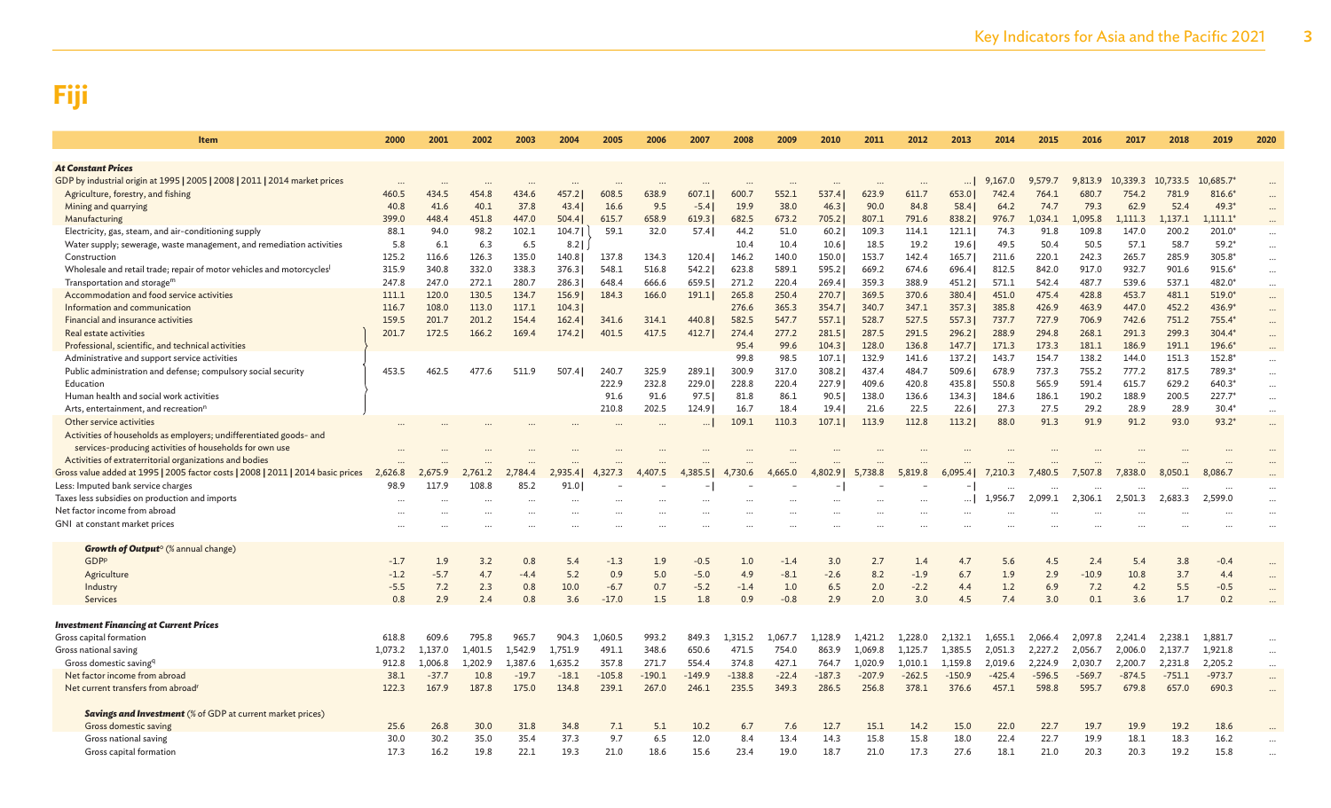| Item                                                                                                | 2000      | 2001           | 2002    | 2003           | 2004    | 2005     | 2006        | 2007           | 2008           | 2009           | 2010           | 2011           | 2012           | 2013           | 2014           | 2015           | 2016           | 2017           | 2018           | 2019             | 2020                 |
|-----------------------------------------------------------------------------------------------------|-----------|----------------|---------|----------------|---------|----------|-------------|----------------|----------------|----------------|----------------|----------------|----------------|----------------|----------------|----------------|----------------|----------------|----------------|------------------|----------------------|
| <b>At Constant Prices</b>                                                                           |           |                |         |                |         |          |             |                |                |                |                |                |                |                |                |                |                |                |                |                  |                      |
| GDP by industrial origin at 1995   2005   2008   2011   2014 market prices                          | $\ddotsc$ |                |         |                |         |          |             |                |                |                |                |                | $\cdots$       |                | 9,167.0        | 9,579.7        | 9,813.9        | 10,339.3       | 10,733.5       | 10,685.7         | $\cdots$             |
| Agriculture, forestry, and fishing                                                                  | 460.5     | 434.5          | 454.8   | 434.6          | 457.2   | 608.5    | 638.9       | 607            | 600.7          | 552.1          | 537.4          | 623.9          | 611.7          | 653.0          | 742.4          | 764.1          | 680.7          | 754.2          | 781.9          | 816.6*           |                      |
| Mining and quarrying                                                                                | 40.8      | 41.6           | 40.1    | 37.8           | 43.4    | 16.6     | 9.5         | $-5.4$         | 19.9           | 38.0           | 46.3           | 90.0           | 84.8           | 58.4           | 64.2           | 74.7           | 79.3           | 62.9           | 52.4           | $49.3*$          | $\cdots$             |
| Manufacturing                                                                                       | 399.0     | 448.4          | 451.8   | 447.0          | 504.4   | 615.7    | 658.9       | 619.3          | 682.5          | 673.2          | 705.2          | 807.1          | 791.6          | 838.2          | 976.7          | 1.034.1        | 1,095.8        | 1.111.3        | 1,137.1        | $,111.1*$        |                      |
| Electricity, gas, steam, and air-conditioning supply                                                | 88.1      | 94.0           | 98.2    | 102.1          | 104.7   | 59.1     | 32.0        | 57.4           | 44.2           | 51.0           | 60.2           | 109.3          | 114.1          | 121.1          | 74.3           | 91.8           | 109.8          | 147.0          | 200.2          | 201.0*           | $\cdots$             |
| Water supply; sewerage, waste management, and remediation activities                                | 5.8       | 6.1            | 6.3     | 6.5            | $8.2$   |          |             |                | 10.4           | 10.4           | 10.6           | 18.5           | 19.2           | 19.6           | 49.5           | 50.4           | 50.5           | 57.1           | 58.7           | $59.2*$          | $\cdots$             |
| Construction                                                                                        | 125.2     | 116.6          | 126.3   | 135.0          | 140.8   | 137.8    | 134.3       | 120.4          | 146.2          | 140.0          | 150.0          | 153.7          | 142.4          | 165.7          | 211.6          | 220.1          | 242.3          | 265.7          | 285.9          | 305.8*           | $\cdots$             |
| Wholesale and retail trade; repair of motor vehicles and motorcycles <sup>1</sup>                   | 315.9     | 340.8          | 332.0   | 338.3          | 376.3   | 548.1    | 516.8       | 542.2          | 623.8          | 589.1          | 595.2          | 669.2          | 674.6          | 696.4          | 812.5          | 842.0          | 917.0          | 932.7          | 901.6          | $915.6*$         | $\cdots$             |
| Transportation and storage <sup>m</sup>                                                             | 247.8     | 247.0          | 272.1   | 280.7          | 286.3   | 648.4    | 666.6       | 659.5          | 271.2          | 220.4          | 269.4          | 359.3          | 388.9          | 451.2          | 571.1          | 542.4          | 487.7          | 539.6          | 537.1          | 482.0*           | $\cdots$             |
| Accommodation and food service activities                                                           | 111.1     | 120.0          | 130.5   | 134.7          | 156.9   | 184.3    | 166.0       | 191.1          | 265.8          | 250.4          | 270.7          | 369.5          | 370.6          | 380.4          | 451.0          | 475.4          | 428.8          | 453.7          | 481.1          | 519.0*           | $\cdots$             |
| Information and communication                                                                       | 116.7     | 108.0          | 113.0   | 117.1          | 104.3   |          |             |                | 276.6          | 365.3          | 354.7          | 340.7          | 347.1          | 357.3          | 385.8          | 426.9          | 463.9          | 447.0          | 452.2          | 436.9*           | $\cdots$             |
| Financial and insurance activities                                                                  | 159.5     | 201.7<br>172.5 | 201.2   | 154.4<br>169.4 | 162.4   | 341.6    | 314.1       | 440.8<br>412.7 | 582.5<br>274.4 | 547.7<br>277.2 | 557.1          | 528.7          | 527.5<br>291.5 | 557.3          | 737.7          | 727.9<br>294.8 | 706.9<br>268.1 | 742.6<br>291.3 | 751.2<br>299.3 | 755.4*<br>304.4* | $\cdots$             |
| <b>Real estate activities</b>                                                                       | 201.7     |                | 166.2   |                | 174.2   | 401.5    | 417.5       |                |                |                | 281.5          | 287.5          |                | 296.2          | 288.9<br>171.3 | 173.3          |                |                |                | 196.6*           | $\cdots$             |
| Professional, scientific, and technical activities<br>Administrative and support service activities |           |                |         |                |         |          |             |                | 95.4<br>99.8   | 99.6<br>98.5   | 104.3<br>107.1 | 128.0<br>132.9 | 136.8<br>141.6 | 147.7<br>137.2 | 143.7          | 154.7          | 181.1<br>138.2 | 186.9<br>144.0 | 191.1<br>151.3 | 152.8*           | $\cdots$             |
| Public administration and defense; compulsory social security                                       | 453.5     | 462.5          | 477.6   | 511.9          | 507.4   | 240.7    | 325.9       | 289.1          | 300.9          | 317.0          | 308.2          | 437.4          | 484.7          | 509.6          | 678.9          | 737.3          | 755.2          | 777.2          | 817.5          | 789.3*           | $\cdots$             |
| Education                                                                                           |           |                |         |                |         | 222.9    | 232.8       | 229.0          | 228.8          | 220.4          | 227.9          | 409.6          | 420.8          | 435.8          | 550.8          | 565.9          | 591.4          | 615.7          | 629.2          | 640.3*           | $\cdots$             |
| Human health and social work activities                                                             |           |                |         |                |         | 91.6     | 91.6        | 97.5           | 81.8           | 86.1           | 90.5           | 138.0          | 136.6          | 134.3          | 184.6          | 186.1          | 190.2          | 188.9          | 200.5          | 227.7*           | $\cdots$<br>$\cdots$ |
| Arts, entertainment, and recreation <sup>r</sup>                                                    |           |                |         |                |         | 210.8    | 202.5       | 124.9          | 16.7           | 18.4           | 19.41          | 21.6           | 22.5           | 22.6           | 27.3           | 27.5           | 29.2           | 28.9           | 28.9           | $30.4*$          | $\cdots$             |
| Other service activities                                                                            |           |                |         |                |         |          |             |                | 109.1          | 110.3          | 107.1          | 113.9          | 112.8          | 113.2          | 88.0           | 91.3           | 91.9           | 91.2           | 93.0           | $93.2*$          | $\cdots$             |
| Activities of households as employers; undifferentiated goods- and                                  |           |                |         |                |         |          |             |                |                |                |                |                |                |                |                |                |                |                |                |                  |                      |
| services-producing activities of households for own use                                             |           |                |         |                |         |          |             |                |                |                |                |                |                |                |                |                |                |                |                |                  |                      |
| Activities of extraterritorial organizations and bodies                                             |           |                |         |                |         |          |             |                |                |                |                |                |                |                |                |                |                |                |                |                  |                      |
| Gross value added at 1995   2005 factor costs   2008   2011   2014 basic prices                     | 2.626.8   |                | 2.761.2 | 2.784.4        | 2.935.4 | 4.327.3  | .407.5<br>4 |                | 4.730.6        | 4.665.0        | 4.802.91       | 5,738.8        | 5,819.8        | 6.095.41       | 7,210.3        | 7.480.5        | 7,507.8        | 7,838.0        | 8.050.1        | 8,086.7          |                      |
| Less: Imputed bank service charges                                                                  | 98.9      | 117.9          | 108.8   | 85.2           | 91.0    |          |             |                |                |                |                |                |                |                |                |                |                |                |                |                  |                      |
| Taxes less subsidies on production and imports                                                      |           |                |         |                |         |          |             |                |                |                |                |                |                |                | 1.956.7        | 2.099.1        | 2,306.1        | 2,501.3        | 2.683.3        | 2.599.0          | $\cdots$             |
| Net factor income from abroad                                                                       |           |                |         |                |         |          |             |                |                |                |                |                |                |                |                |                |                |                |                |                  | $\cdots$             |
| GNI at constant market prices                                                                       |           |                |         |                |         |          |             |                |                |                |                |                |                |                |                |                |                |                |                |                  | $\cdots$             |
|                                                                                                     |           |                |         |                |         |          |             |                |                |                |                |                |                |                |                |                |                |                |                |                  |                      |
| Growth of Output <sup>o</sup> (% annual change)                                                     |           |                |         |                |         |          |             |                |                |                |                |                |                |                |                |                |                |                |                |                  |                      |
| GDPP                                                                                                | $-1.7$    | 1.9            | 3.2     | 0.8            | 5.4     | $-1.3$   | 1.9         | $-0.5$         | 1.0            | $-1.4$         | 3.0            | 2.7            | 1.4            | 4.7            | 5.6            | 4.5            | 2.4            | 5.4            | 3.8            | $-0.4$           | $\cdots$             |
| Agriculture                                                                                         | $-1.2$    | $-5.7$         | 4.7     | $-4.4$         | 5.2     | 0.9      | 5.0         | $-5.0$         | 4.9            | $-8.1$         | $-2.6$         | 8.2            | $-1.9$         | 6.7            | 1.9            | 2.9            | $-10.9$        | 10.8           | 3.7            | 4.4              | $\ddot{\phantom{a}}$ |
| Industry                                                                                            | $-5.5$    | 7.2            | 2.3     | 0.8            | 10.0    | $-6.7$   | 0.7         | $-5.2$         | $-1.4$         | 1.0            | 6.5            | 2.0            | $-2.2$         | 4.4            | 1.2            | 6.9            | 7.2            | 4.2            | 5.5            | $-0.5$           |                      |
| Services                                                                                            | 0.8       | 2.9            | 2.4     | 0.8            | 3.6     | $-17.0$  | 1.5         | 1.8            | 0.9            | $-0.8$         | 2.9            | 2.0            | 3.0            | 4.5            | 7.4            | 3.0            | 0.1            | 3.6            | 1.7            | 0.2              |                      |
| <b>Investment Financing at Current Prices</b>                                                       |           |                |         |                |         |          |             |                |                |                |                |                |                |                |                |                |                |                |                |                  |                      |
| Gross capital formation                                                                             | 618.8     | 609.6          | 795.8   | 965.7          | 904.3   | 1,060.5  | 993.2       | 849.3          | 1,315.2        | 1,067.7        | 1,128.9        | 1,421.2        | 1,228.0        | 2,132.1        | 1,655.1        | 2,066.4        | 2,097.8        | 2,241.4        | 2,238.1        | 1,881.7          | $\cdots$             |
| Gross national saving                                                                               | 1,073.2   | 1,137.0        | 1,401.5 | 1.542.9        | 1,751.9 | 491.1    | 348.6       | 650.6          | 471.5          | 754.0          | 863.9          | 1,069.8        | 1,125.7        | 1,385.5        | 2,051.3        | 2,227.2        | 2,056.7        | 2,006.0        | 2,137.7        | 1,921.8          |                      |
| Gross domestic saving <sup>q</sup>                                                                  | 912.8     | 1,006.8        | 1,202.9 | 1,387.6        | 1,635.2 | 357.8    | 271.7       | 554.4          | 374.8          | 427.1          | 764.7          | 1,020.9        | 1,010.1        | 1,159.8        | 2,019.6        | 2,224.9        | 2,030.7        | 2,200.7        | 2,231.8        | 2,205.2          | $\cdots$             |
| Net factor income from abroad                                                                       | 38.1      | $-37.7$        | 10.8    | $-19.7$        | $-18.1$ | $-105.8$ | $-190.1$    | $-149.9$       | $-138.8$       | $-22.4$        | $-187.3$       | $-207.9$       | $-262.5$       | $-150.9$       | $-425.4$       | $-596.5$       | $-569.7$       | $-874.5$       | $-751.1$       | $-973.7$         | $\cdots$             |
| Net current transfers from abroad <sup>1</sup>                                                      | 122.3     | 167.9          | 187.8   | 175.0          | 134.8   | 239.1    | 267.0       | 246.1          | 235.5          | 349.3          | 286.5          | 256.8          | 378.1          | 376.6          | 457.1          | 598.8          | 595.7          | 679.8          | 657.0          | 690.3            | $\cdots$             |
|                                                                                                     |           |                |         |                |         |          |             |                |                |                |                |                |                |                |                |                |                |                |                |                  |                      |
| <b>Savings and Investment</b> (% of GDP at current market prices)                                   |           |                |         |                |         |          |             |                |                |                |                |                |                |                |                |                |                |                |                |                  |                      |
| Gross domestic saving                                                                               | 25.6      | 26.8           | 30.0    | 31.8           | 34.8    | 7.1      | 5.1         | 10.2           | 6.7            | 7.6            | 12.7           | 15.1           | 14.2           | 15.0           | 22.0           | 22.7           | 19.7           | 19.9           | 19.2           | 18.6             |                      |
| Gross national saving                                                                               | 30.0      | 30.2           | 35.0    | 35.4           | 37.3    | 9.7      | 6.5         | 12.0           | 8.4            | 13.4           | 14.3           | 15.8           | 15.8           | 18.0           | 22.4           | 22.7           | 19.9           | 18.1           | 18.3           | 16.2             |                      |
| Gross capital formation                                                                             | 17.3      | 16.2           | 19.8    | 22.1           | 19.3    | 21.0     | 18.6        | 15.6           | 23.4           | 19.0           | 18.7           | 21.0           | 17.3           | 27.6           | 18.1           | 21.0           | 20.3           | 20.3           | 19.2           | 15.8             |                      |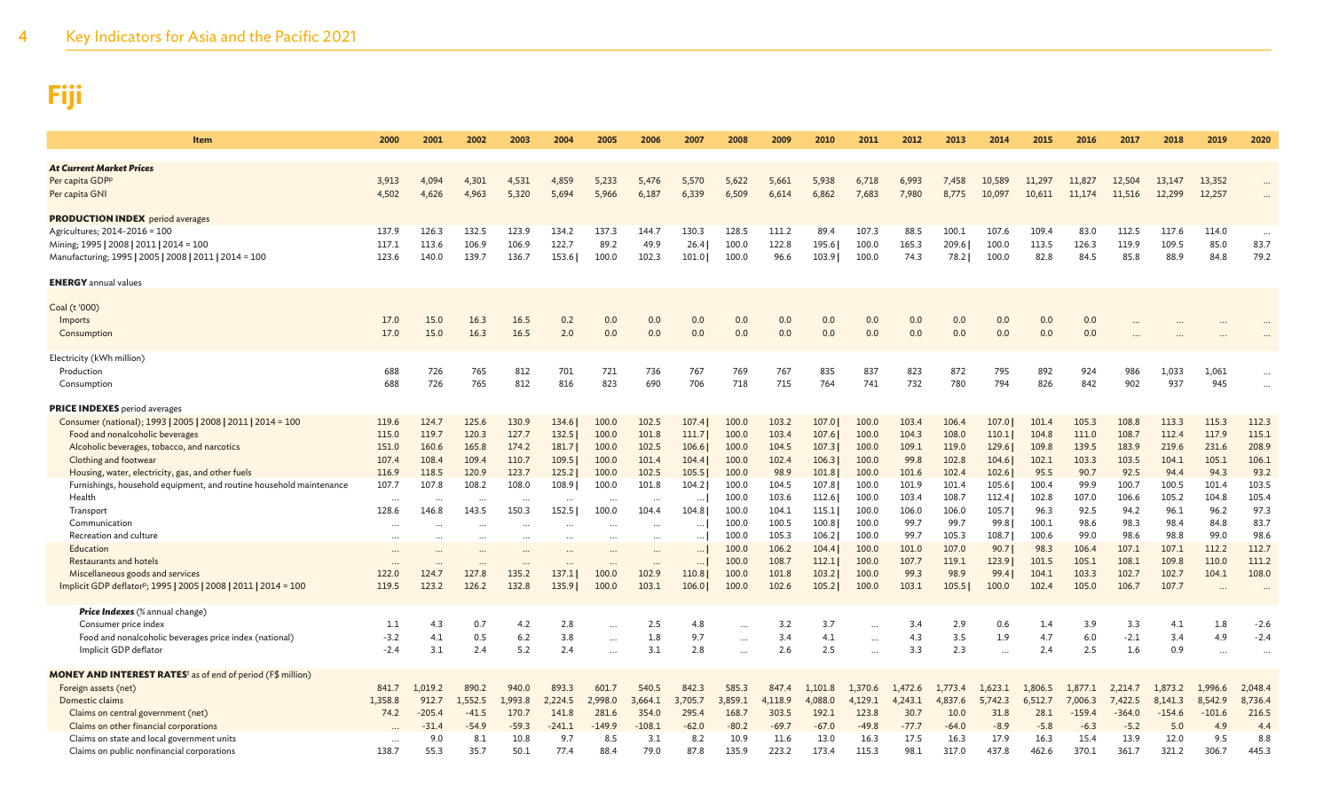| Item                                                                                                                                                                                                                                                                                                                                                                                                                                                                                                                                                                          | 2000                                                                                                                                                   | 2001                                                                          | 2002                                                                                              | 2003                                                                                                                                      | 2004                                                                                                                           | 2005                                                                                                                              | 2006                                                                                                                              | 2007                                                                                                                                | 2008                                                                                                                       | 2009                                                                                                                      | 2010                                                                                                                       | 2011                                                                                                                       | 2012                                                                                                                   | 2013                                                                                                                     | 2014                                                                                                                    | 2015                                                                                                                    | 2016                                                                                                                  | 2017                                                                                                                   | 2018                                                                                                                   | 2019                                                                                                          | 2020                                                                                                          |
|-------------------------------------------------------------------------------------------------------------------------------------------------------------------------------------------------------------------------------------------------------------------------------------------------------------------------------------------------------------------------------------------------------------------------------------------------------------------------------------------------------------------------------------------------------------------------------|--------------------------------------------------------------------------------------------------------------------------------------------------------|-------------------------------------------------------------------------------|---------------------------------------------------------------------------------------------------|-------------------------------------------------------------------------------------------------------------------------------------------|--------------------------------------------------------------------------------------------------------------------------------|-----------------------------------------------------------------------------------------------------------------------------------|-----------------------------------------------------------------------------------------------------------------------------------|-------------------------------------------------------------------------------------------------------------------------------------|----------------------------------------------------------------------------------------------------------------------------|---------------------------------------------------------------------------------------------------------------------------|----------------------------------------------------------------------------------------------------------------------------|----------------------------------------------------------------------------------------------------------------------------|------------------------------------------------------------------------------------------------------------------------|--------------------------------------------------------------------------------------------------------------------------|-------------------------------------------------------------------------------------------------------------------------|-------------------------------------------------------------------------------------------------------------------------|-----------------------------------------------------------------------------------------------------------------------|------------------------------------------------------------------------------------------------------------------------|------------------------------------------------------------------------------------------------------------------------|---------------------------------------------------------------------------------------------------------------|---------------------------------------------------------------------------------------------------------------|
| <b>At Current Market Prices</b><br>Per capita GDPP<br>Per capita GNI                                                                                                                                                                                                                                                                                                                                                                                                                                                                                                          | 3.913<br>4,502                                                                                                                                         | 4.094<br>4,626                                                                | 4.301<br>4,963                                                                                    | 4,531<br>5,320                                                                                                                            | 4,859<br>5,694                                                                                                                 | 5,233<br>5,966                                                                                                                    | 5,476<br>6,187                                                                                                                    | 5,570<br>6,339                                                                                                                      | 5,622<br>6,509                                                                                                             | 5,661<br>6,614                                                                                                            | 5,938<br>6,862                                                                                                             | 6,718<br>7,683                                                                                                             | 6,993<br>7,980                                                                                                         | 7.458<br>8,775                                                                                                           | 10.589<br>10,097                                                                                                        | 11,297<br>10,611                                                                                                        | 11,827<br>11,174                                                                                                      | 12,504<br>11,516                                                                                                       | 13,147<br>12,299                                                                                                       | 13,352<br>12,257                                                                                              |                                                                                                               |
| <b>PRODUCTION INDEX</b> period averages<br>Agricultures; 2014-2016 = 100<br>Mining; 1995   2008   2011   2014 = 100<br>Manufacturing; 1995   2005   2008   2011   2014 = 100                                                                                                                                                                                                                                                                                                                                                                                                  | 137.9<br>117.1<br>123.6                                                                                                                                | 126.3<br>113.6<br>140.0                                                       | 132.5<br>106.9<br>139.7                                                                           | 123.9<br>106.9<br>136.7                                                                                                                   | 134.2<br>122.7<br>153.6                                                                                                        | 137.3<br>89.2<br>100.0                                                                                                            | 144.7<br>49.9<br>102.3                                                                                                            | 130.3<br>26.4<br>101.0                                                                                                              | 128.5<br>100.0<br>100.0                                                                                                    | 111.2<br>122.8<br>96.6                                                                                                    | 89.4<br>195.6<br>103.9                                                                                                     | 107.3<br>100.0<br>100.0                                                                                                    | 88.5<br>165.3<br>74.3                                                                                                  | 100.1<br>209.6<br>78.2                                                                                                   | 107.6<br>100.0<br>100.0                                                                                                 | 109.4<br>113.5<br>82.8                                                                                                  | 83.0<br>126.3<br>84.5                                                                                                 | 112.5<br>119.9<br>85.8                                                                                                 | 117.6<br>109.5<br>88.9                                                                                                 | 114.0<br>85.0<br>84.8                                                                                         | 83.7<br>79.2                                                                                                  |
| <b>ENERGY</b> annual values                                                                                                                                                                                                                                                                                                                                                                                                                                                                                                                                                   |                                                                                                                                                        |                                                                               |                                                                                                   |                                                                                                                                           |                                                                                                                                |                                                                                                                                   |                                                                                                                                   |                                                                                                                                     |                                                                                                                            |                                                                                                                           |                                                                                                                            |                                                                                                                            |                                                                                                                        |                                                                                                                          |                                                                                                                         |                                                                                                                         |                                                                                                                       |                                                                                                                        |                                                                                                                        |                                                                                                               |                                                                                                               |
| Coal (t '000)<br>Imports<br>Consumption                                                                                                                                                                                                                                                                                                                                                                                                                                                                                                                                       | 17.0<br>17.0                                                                                                                                           | 15.0<br>15.0                                                                  | 16.3<br>16.3                                                                                      | 16.5<br>16.5                                                                                                                              | 0.2<br>2.0                                                                                                                     | 0.0<br>0.0                                                                                                                        | 0.0<br>0.0                                                                                                                        | 0.0<br>0.0                                                                                                                          | 0.0<br>0.0                                                                                                                 | 0.0<br>0.0                                                                                                                | 0.0<br>0.0                                                                                                                 | 0.0<br>0.0                                                                                                                 | 0.0<br>0.0                                                                                                             | 0.0<br>0.0                                                                                                               | 0.0<br>0.0                                                                                                              | 0.0<br>0.0                                                                                                              | 0.0<br>0.0                                                                                                            |                                                                                                                        |                                                                                                                        |                                                                                                               |                                                                                                               |
| Electricity (kWh million)<br>Production<br>Consumption                                                                                                                                                                                                                                                                                                                                                                                                                                                                                                                        | 688<br>688                                                                                                                                             | 726<br>726                                                                    | 765<br>765                                                                                        | 812<br>812                                                                                                                                | 701<br>816                                                                                                                     | 721<br>823                                                                                                                        | 736<br>690                                                                                                                        | 767<br>706                                                                                                                          | 769<br>718                                                                                                                 | 767<br>715                                                                                                                | 835<br>764                                                                                                                 | 837<br>741                                                                                                                 | 823<br>732                                                                                                             | 872<br>780                                                                                                               | 795<br>794                                                                                                              | 892<br>826                                                                                                              | 924<br>842                                                                                                            | 986<br>902                                                                                                             | 1,033<br>937                                                                                                           | 1,061<br>945                                                                                                  | $\cdots$<br>$\ddots$                                                                                          |
| <b>PRICE INDEXES</b> period averages<br>Consumer (national); 1993   2005   2008   2011   2014 = 100<br>Food and nonalcoholic beverages<br>Alcoholic beverages, tobacco, and narcotics<br>Clothing and footwear<br>Housing, water, electricity, gas, and other fuels<br>Furnishings, household equipment, and routine household maintenance<br>Health<br>Transport<br>Communication<br>Recreation and culture<br>Education<br><b>Restaurants and hotels</b><br>Miscellaneous goods and services<br>Implicit GDP deflator <sup>p</sup> ; 1995   2005   2008   2011   2014 = 100 | 119.6<br>115.0<br>151.0<br>107.4<br>116.9<br>107.7<br>$\cdot$ .<br>128.6<br>$\cdots$<br>$\cdots$<br>$\ddot{\phantom{a}}$<br>$\ddots$<br>122.0<br>119.5 | 124.7<br>119.7<br>160.6<br>108.4<br>118.5<br>107.8<br>146.8<br>124.7<br>123.2 | 125.6<br>120.3<br>165.8<br>109.4<br>120.9<br>108.2<br><br>143.5<br><br><br><br><br>127.8<br>126.2 | 130.9<br>127.7<br>174.2<br>110.7<br>123.7<br>108.0<br>$\cdots$<br>150.3<br>$\cdots$<br>$\cdots$<br>$\ddots$<br>$\cdots$<br>135.2<br>132.8 | 134.6<br>132.5<br>181.7<br>109.5<br>125.2<br>108.9<br>$\cdots$<br>152.5<br>$\cdots$<br>$\ddotsc$<br>$\cdots$<br>137.1<br>135.9 | 100.0<br>100.0<br>100.0<br>100.0<br>100.0<br>100.0<br>$\cdots$<br>100.0<br>$\cdots$<br><br>$\cdots$<br>$\cdots$<br>100.0<br>100.0 | 102.5<br>101.8<br>102.5<br>101.4<br>102.5<br>101.8<br>$\cdots$<br>104.4<br><br>$\cdots$<br>$\cdots$<br>$\cdots$<br>102.9<br>103.1 | 107.4<br>111.7<br>106.6<br>104.4<br>105.5<br>104.2<br>$\ddotsc$<br>104.8<br>$\ddot{\phantom{a}}$<br><br>$\ddotsc$<br>110.8<br>106.0 | 100.0<br>100.0<br>100.0<br>100.0<br>100.0<br>100.0<br>100.0<br>100.0<br>100.0<br>100.0<br>100.0<br>100.0<br>100.0<br>100.0 | 103.2<br>103.4<br>104.5<br>102.4<br>98.9<br>104.5<br>103.6<br>104.1<br>100.5<br>105.3<br>106.2<br>108.7<br>101.8<br>102.6 | 107.0<br>107.6<br>107.3<br>106.3<br>101.8<br>107.8<br>112.6<br>115.1<br>100.8<br>106.2<br>104.4<br>112.1<br>103.2<br>105.2 | 100.0<br>100.0<br>100.0<br>100.0<br>100.0<br>100.0<br>100.0<br>100.0<br>100.0<br>100.0<br>100.0<br>100.0<br>100.0<br>100.0 | 103.4<br>104.3<br>109.1<br>99.8<br>101.6<br>101.9<br>103.4<br>106.0<br>99.7<br>99.7<br>101.0<br>107.7<br>99.3<br>103.1 | 106.4<br>108.0<br>119.0<br>102.8<br>102.4<br>101.4<br>108.7<br>106.0<br>99.7<br>105.3<br>107.0<br>119.1<br>98.9<br>105.5 | 107.0<br>110.1<br>129.6<br>104.6<br>102.6<br>105.6<br>112.4<br>105.7<br>99.8<br>108.7<br>90.7<br>123.9<br>99.4<br>100.0 | 101.4<br>104.8<br>109.8<br>102.1<br>95.5<br>100.4<br>102.8<br>96.3<br>100.1<br>100.6<br>98.3<br>101.5<br>104.1<br>102.4 | 105.3<br>111.0<br>139.5<br>103.3<br>90.7<br>99.9<br>107.0<br>92.5<br>98.6<br>99.0<br>106.4<br>105.1<br>103.3<br>105.0 | 108.8<br>108.7<br>183.9<br>103.5<br>92.5<br>100.7<br>106.6<br>94.2<br>98.3<br>98.6<br>107.1<br>108.1<br>102.7<br>106.7 | 113.3<br>112.4<br>219.6<br>104.1<br>94.4<br>100.5<br>105.2<br>96.1<br>98.4<br>98.8<br>107.1<br>109.8<br>102.7<br>107.7 | 115.3<br>117.9<br>231.6<br>105.1<br>94.3<br>101.4<br>104.8<br>96.2<br>84.8<br>99.0<br>112.2<br>110.0<br>104.1 | 112.3<br>115.1<br>208.9<br>106.1<br>93.2<br>103.5<br>105.4<br>97.3<br>83.7<br>98.6<br>112.7<br>111.2<br>108.0 |
| <b>Price Indexes</b> (% annual change)<br>Consumer price index<br>Food and nonalcoholic beverages price index (national)<br>Implicit GDP deflator                                                                                                                                                                                                                                                                                                                                                                                                                             | 1.1<br>$-3.2$<br>$-2.4$                                                                                                                                | 4.3<br>4.1<br>3.1                                                             | 0.7<br>0.5<br>2.4                                                                                 | 4.2<br>6.2<br>5.2                                                                                                                         | 2.8<br>3.8<br>2.4                                                                                                              | <br><br>                                                                                                                          | 2.5<br>1.8<br>3.1                                                                                                                 | 4.8<br>9.7<br>2.8                                                                                                                   | $\cdots$<br>$\cdots$                                                                                                       | 3.2<br>3.4<br>2.6                                                                                                         | 3.7<br>4.1<br>2.5                                                                                                          | $\cdots$<br>$\cdots$                                                                                                       | 3.4<br>4.3<br>3.3                                                                                                      | 2.9<br>3.5<br>2.3                                                                                                        | 0.6<br>1.9                                                                                                              | 1.4<br>4.7<br>2.4                                                                                                       | 3.9<br>6.0<br>2.5                                                                                                     | 3.3<br>$-2.1$<br>1.6                                                                                                   | 4.1<br>3.4<br>0.9                                                                                                      | 1.8<br>4.9<br>                                                                                                | $-2.6$<br>$-2.4$<br>$\cdots$                                                                                  |
| <b>MONEY AND INTEREST RATES<sup>t</sup> as of end of period (F\$ million)</b><br>Foreign assets (net)<br>Domestic claims<br>Claims on central government (net)<br>Claims on other financial corporations<br>Claims on state and local government units<br>Claims on public nonfinancial corporations                                                                                                                                                                                                                                                                          | 841.7<br>1,358.8<br>74.2<br>$\ddots$<br>138.7                                                                                                          | 1.019.2<br>912.7<br>$-205.4$<br>$-31.4$<br>9.0<br>55.3                        | 890.2<br>.,552.5<br>$-41.5$<br>$-54.9$<br>8.1<br>35.7                                             | 940.0<br>1.993.8<br>170.7<br>$-59.3$<br>10.8<br>50.1                                                                                      | 893.3<br>2.224.5<br>141.8<br>$-241.1$<br>9.7<br>77.4                                                                           | 601.7<br>2,998.0<br>281.6<br>$-149.9$<br>8.5<br>88.4                                                                              | 540.5<br>3,664.1<br>354.0<br>$-108.1$<br>3.1<br>79.0                                                                              | 842.3<br>3,705.7<br>295.4<br>$-62.0$<br>8.2<br>87.8                                                                                 | 585.3<br>3,859.1<br>168.7<br>$-80.2$<br>10.9<br>135.9                                                                      | 847.4<br>4,118.9<br>303.5<br>$-69.7$<br>11.6<br>223.2                                                                     | 1,101.8<br>4,088.0<br>192.1<br>$-67.0$<br>13.0<br>173.4                                                                    | 1,370.6<br>4,129.1<br>123.8<br>$-49.8$<br>16.3<br>115.3                                                                    | 1,472.6<br>4,243.1<br>30.7<br>$-77.7$<br>17.5<br>98.1                                                                  | 1,773.4<br>4,837.6<br>10.0<br>$-64.0$<br>16.3<br>317.0                                                                   | 1,623.1<br>5,742.3<br>31.8<br>$-8.9$<br>17.9<br>437.8                                                                   | 1,806.5<br>6,512.7<br>28.1<br>$-5.8$<br>16.3<br>462.6                                                                   | 1,877.1<br>7,006.3<br>$-159.4$<br>$-6.3$<br>15.4<br>370.1                                                             | 2,214.7<br>7,422.5<br>$-364.0$<br>$-5.2$<br>13.9<br>361.7                                                              | 1,873.2<br>8,141.3<br>$-154.6$<br>5.0<br>12.0<br>321.2                                                                 | 1,996.6<br>8,542.9<br>$-101.6$<br>4.9<br>9.5<br>306.7                                                         | 2,048.4<br>8,736.4<br>216.5<br>4.4<br>8.8<br>445.3                                                            |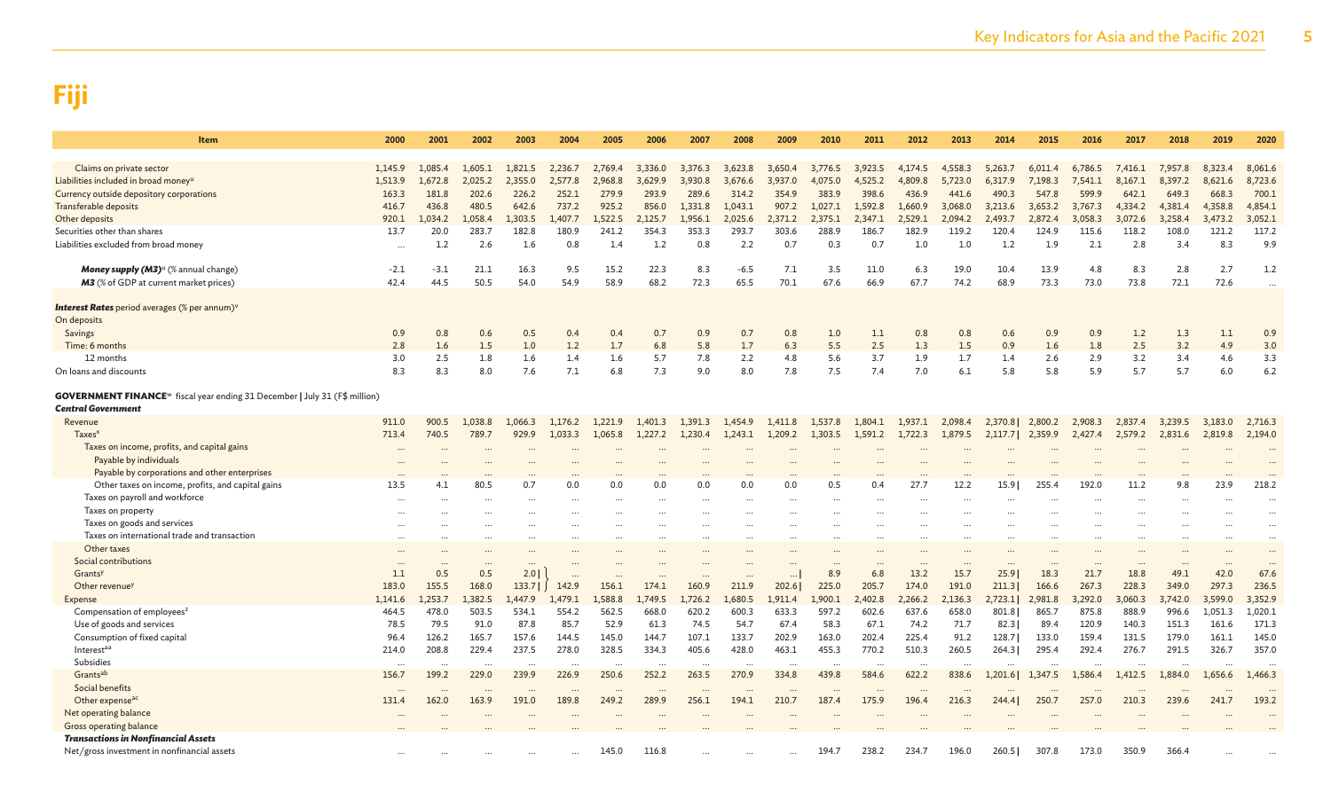| Item                                                                                                                       | 2000       | 2001                 | 2002       | 2003       | 2004                 | 2005       | 2006       | 2007                 | 2008       | 2009       | 2010       | 2011       | 2012       | 2013                 | 2014       | 2015       | 2016                 | 2017       | 2018       | 2019      | 2020       |
|----------------------------------------------------------------------------------------------------------------------------|------------|----------------------|------------|------------|----------------------|------------|------------|----------------------|------------|------------|------------|------------|------------|----------------------|------------|------------|----------------------|------------|------------|-----------|------------|
|                                                                                                                            |            |                      |            |            |                      |            |            |                      |            |            |            |            |            |                      |            |            |                      |            |            |           |            |
| Claims on private sector                                                                                                   | 1.145.9    | 1.085.4              | 1.605.1    | 1.821.5    | 2.236.7              | 2.769.4    | 3.336.0    | 3.376.3              | 3.623.8    | 3.650.4    | 3.776.5    | 3.923.5    | 4.174.5    | 4.558.3              | 5.263.7    | 6.011.4    | 6.786.5              | 7,416.1    | 7.957.8    | 8,323.4   | 8,061.6    |
| Liabilities included in broad money <sup>u</sup>                                                                           | 1,513.9    | 1,672.8              | 2,025.2    | 2,355.0    | 2.577.8              | 2,968.8    | 3,629.9    | 3,930.8              | 3,676.6    | 3,937.0    | 4,075.0    | 4,525.2    | 4,809.8    | 5,723.0              | 6,317.9    | 7,198.3    | 7,541.1              | 8,167.1    | 8,397.2    | 8,621.6   | 8,723.6    |
| Currency outside depository corporations                                                                                   | 163.3      | 181.8                | 202.6      | 226.2      | 252.1                | 279.9      | 293.9      | 289.6                | 314.2      | 354.9      | 383.9      | 398.6      | 436.9      | 441.6                | 490.3      | 547.8      | 599.9                | 642.1      | 649.3      | 668.3     | 700.1      |
| <b>Transferable deposits</b>                                                                                               | 416.7      | 436.8                | 480.5      | 642.6      | 737.2                | 925.2      | 856.0      | 1.331.8              | 1.043.1    | 907.2      | 1.027.1    | 1.592.8    | 1,660.9    | 3.068.0              | 3,213.6    | 3,653.2    | 3,767.3              | 4,334.2    | 4,381.4    | 4,358.8   | 4,854.1    |
| Other deposits                                                                                                             | 920.1      | 1,034.2              | 1,058.4    | 1,303.5    | 1,407.7              | 1,522.5    | 2,125.7    | 1,956.1              | 2,025.6    | 2,371.2    | 2,375.1    | 2,347.1    | 2,529.1    | 2,094.2              | 2,493.7    | 2,872.4    | 3,058.3              | 3,072.6    | 3,258.4    | 3,473.2   | 3,052.1    |
| Securities other than shares                                                                                               | 13.7       | 20.0                 | 283.7      | 182.8      | 180.9                | 241.2      | 354.3      | 353.3                | 293.7      | 303.6      | 288.9      | 186.7      | 182.9      | 119.2                | 120.4      | 124.9      | 115.6                | 118.2      | 108.0      | 121.2     | 117.2      |
| Liabilities excluded from broad money                                                                                      | $\ddotsc$  | 1.2                  | 2.6        | 1.6        | 0.8                  | 1.4        | 1.2        | 0.8                  | 2.2        | 0.7        | 0.3        | 0.7        | 1.0        | 1.0                  | 1.2        | 1.9        | 2.1                  | 2.8        | 3.4        | 8.3       | 9.9        |
| Money supply (M3) <sup>u</sup> (% annual change)                                                                           | $-2.1$     | $-3.1$               | 21.1       | 16.3       | 9.5                  | 15.2       | 22.3       | 8.3                  | $-6.5$     | 7.1        | 3.5        | 11.0       | 6.3        | 19.0                 | 10.4       | 13.9       | 4.8                  | 8.3        | 2.8        | 2.7       | 1.2        |
| M3 (% of GDP at current market prices)                                                                                     | 42.4       | 44.5                 | 50.5       | 54.0       | 54.9                 | 58.9       | 68.2       | 72.3                 | 65.5       | 70.1       | 67.6       | 66.9       | 67.7       | 74.2                 | 68.9       | 73.3       | 73.0                 | 73.8       | 72.1       | 72.6      |            |
| <b>Interest Rates</b> period averages (% per annum) <sup>v</sup>                                                           |            |                      |            |            |                      |            |            |                      |            |            |            |            |            |                      |            |            |                      |            |            |           |            |
| On deposits                                                                                                                |            |                      |            |            |                      |            |            |                      |            |            |            |            |            |                      |            |            |                      |            |            |           |            |
| Savings                                                                                                                    | 0.9        | 0.8                  | 0.6        | 0.5        | 0.4                  | 0.4        | 0.7        | 0.9                  | 0.7        | 0.8        | 1.0        | 1.1        | 0.8        | 0.8                  | 0.6        | 0.9        | 0.9                  | 1.2        | 1.3        | 1.1       | 0.9        |
| Time: 6 months                                                                                                             | 2.8        | 1.6                  | 1.5        | 1.0        | 1.2                  | 1.7        | 6.8        | 5.8                  | 1.7        | 6.3        | 5.5        | 2.5        | 1.3        | 1.5                  | 0.9        | 1.6        | 1.8                  | 2.5        | 3.2        | 4.9       | 3.0        |
| 12 months                                                                                                                  | 3.0<br>8.3 | 2.5<br>8.3           | 1.8<br>8.0 | 1.6<br>7.6 | 1.4<br>7.1           | 1.6<br>6.8 | 5.7<br>7.3 | 7.8                  | 2.2<br>8.0 | 4.8<br>7.8 | 5.6<br>7.5 | 3.7<br>7.4 | 1.9<br>7.0 | 1.7<br>6.1           | 1.4<br>5.8 | 2.6<br>5.8 | 2.9<br>5.9           | 3.2<br>5.7 | 3.4<br>5.7 | 4.6       | 3.3<br>6.2 |
| On loans and discounts                                                                                                     |            |                      |            |            |                      |            |            | 9.0                  |            |            |            |            |            |                      |            |            |                      |            |            | 6.0       |            |
| <b>GOVERNMENT FINANCE</b> <sup>w</sup> fiscal year ending 31 December   July 31 (F\$ million)<br><b>Central Government</b> |            |                      |            |            |                      |            |            |                      |            |            |            |            |            |                      |            |            |                      |            |            |           |            |
| Revenue                                                                                                                    | 911.0      | 900.5                | 1,038.8    | 1,066.3    | 1,176.2              | 1.221.9    | 1,401.3    | 1,391.3              | 1.454.9    | 1,411.8    | 1,537.8    | 1,804.1    | 1,937.1    | 2,098.4              | 2,370.8    | 2,800.2    | 2,908.3              | 2,837.4    | 3,239.5    | 3,183.0   | 2,716.3    |
| Taxes <sup>x</sup>                                                                                                         | 713.4      | 740.5                | 789.7      | 929.9      | 1,033.3              | 1,065.8    | 1,227.2    | 1,230.4              | 1,243.1    | 1,209.2    | 1,303.5    | 1,591.2    | 1,722.3    | 1,879.5              | 2,117.7    | 2,359.9    | 2,427.4              | 2,579.2    | 2,831.6    | 2,819.8   | 2,194.0    |
| Taxes on income, profits, and capital gains                                                                                |            |                      |            |            |                      |            |            |                      |            |            |            |            |            |                      |            |            |                      |            |            |           |            |
| Payable by individuals                                                                                                     |            |                      |            |            |                      |            |            |                      |            |            |            |            |            |                      |            |            |                      |            |            |           |            |
| Payable by corporations and other enterprises                                                                              |            |                      |            |            |                      |            |            |                      |            |            |            |            |            |                      |            |            |                      |            |            |           |            |
| Other taxes on income, profits, and capital gains                                                                          | 13.5       | 4.1                  | 80.5       | 0.7        | 0.0                  | 0.0        | 0.0        | 0.0                  | 0.0        | 0.0        | 0.5        | 0.4        | 27.7       | 12.2                 | 15.9       | 255.4      | 192.0                | 11.2       | 9.8        | 23.9      | 218.2      |
| Taxes on payroll and workforce                                                                                             |            |                      |            | $\cdots$   |                      | $\ddotsc$  | $\cdots$   |                      | $\cdots$   | $\cdots$   |            |            |            |                      |            |            |                      |            |            |           |            |
| Taxes on property                                                                                                          |            |                      |            |            |                      |            |            |                      |            |            |            |            |            |                      |            |            |                      |            |            |           |            |
| Taxes on goods and services                                                                                                |            |                      |            |            |                      |            |            |                      |            | $\ddotsc$  |            |            |            |                      |            |            |                      |            |            |           | $\cdots$   |
| Taxes on international trade and transaction                                                                               |            |                      | $\cdots$   | $\cdots$   |                      |            | $\cdots$   |                      | $\cdots$   | $\cdots$   |            | $\ddotsc$  | $\cdots$   |                      |            | $\ddotsc$  |                      |            |            |           |            |
| Other taxes                                                                                                                |            |                      |            | $\ddotsc$  |                      |            |            |                      |            | $\ddotsc$  |            |            |            |                      |            |            |                      |            | $\ddotsc$  |           |            |
| Social contributions                                                                                                       | $\cdots$   | $\ddot{\phantom{a}}$ | $\cdots$   | $\cdots$   |                      |            |            |                      |            | $\cdots$   | $\ddotsc$  | $\cdots$   | $\cdots$   | $\ddot{\phantom{a}}$ |            |            | $\ddot{\phantom{a}}$ |            |            | $\sim$    |            |
| Grantsy                                                                                                                    | 1.1        | 0.5                  | 0.5        | 2.0        | $\ddotsc$            |            |            |                      |            |            | 8.9        | 6.8        | 13.2       | 15.7                 | 25.9       | 18.3       | 21.7                 | 18.8       | 49.1       | 42.0      | 67.6       |
| Other revenue <sup>y</sup>                                                                                                 | 183.0      | 155.5                | 168.0      | 133.71     | 142.9                | 156.1      | 174.1      | 160.9                | 211.9      | 202.6      | 225.0      | 205.7      | 174.0      | 191.0                | 211.3      | 166.6      | 267.3                | 228.3      | 349.0      | 297.3     | 236.5      |
| Expense                                                                                                                    | 1,141.6    | 1.253.7              | 1.382.5    | .447.9     | 1.479.1              | 1.588.8    | 1.749.5    | .726.2               | 1.680.5    | 1.911.4    | 1.900.1    | 2.402.8    | 2.266.2    | 2.136.3              | 2,723.1    | 2.981.8    | 3.292.0              | 3.060.3    | 3,742.0    | 3,599.0   | 3,352.9    |
| Compensation of employees <sup>z</sup>                                                                                     | 464.5      | 478.0                | 503.5      | 534.1      | 554.2                | 562.5      | 668.0      | 620.2                | 600.3      | 633.3      | 597.2      | 602.6      | 637.6      | 658.0                | 801.8      | 865.7      | 875.8                | 888.9      | 996.6      | 1,051.3   | 1,020.1    |
| Use of goods and services                                                                                                  | 78.5       | 79.5                 | 91.0       | 87.8       | 85.7                 | 52.9       | 61.3       | 74.5                 | 54.7       | 67.4       | 58.3       | 67.1       | 74.2       | 71.7                 | 82.3       | 89.4       | 120.9                | 140.3      | 151.3      | 161.6     | 171.3      |
| Consumption of fixed capital                                                                                               | 96.4       | 126.2                | 165.7      | 157.6      | 144.5                | 145.0      | 144.7      | 107.1                | 133.7      | 202.9      | 163.0      | 202.4      | 225.4      | 91.2                 | 128.7      | 133.0      | 159.4                | 131.5      | 179.0      | 161.1     | 145.0      |
| Interestaa                                                                                                                 | 214.0      | 208.8                | 229.4      | 237.5      | 278.0                | 328.5      | 334.3      | 405.6                | 428.0      | 463.1      | 455.3      | 770.2      | 510.3      | 260.5                | 264.3      | 295.4      | 292.4                | 276.7      | 291.5      | 326.7     | 357.0      |
| Subsidies                                                                                                                  | $\cdots$   | $\cdots$             | $\cdots$   | $\cdots$   | $\cdots$             | $\cdots$   | $\cdots$   | $\cdots$             | $\cdots$   | $\cdots$   | .          | $\cdots$   | $\cdots$   | $\cdots$             | $\cdots$   |            |                      |            |            | $\ddotsc$ | $\ddotsc$  |
| Grants <sup>ab</sup>                                                                                                       | 156.7      | 199.2                | 229.0      | 239.9      | 226.9                | 250.6      | 252.2      | 263.5                | 270.9      | 334.8      | 439.8      | 584.6      | 622.2      | 838.6                | 1,201.6    | 1,347.5    | 1,586.4              | 1,412.5    | 1,884.0    | 1,656.6   | 1,466.3    |
| Social benefits                                                                                                            | $\cdots$   |                      | $\cdots$   | $\cdots$   | $\ddot{\phantom{a}}$ | $\ddotsc$  | $\cdots$   | $\ddot{\phantom{a}}$ | $\ddotsc$  | $\cdots$   | $\cdots$   | $\ddotsc$  |            | $\cdots$             |            | $\ddotsc$  |                      |            |            |           |            |
| Other expense <sup>ac</sup><br>Net operating balance                                                                       | 131.4      | 162.0                | 163.9      | 191.0      | 189.8                | 249.2      | 289.9      | 256.1                | 194.1      | 210.7      | 187.4      | 175.9      | 196.4      | 216.3                | 244.4      | 250.7      | 257.0                | 210.3      | 239.6      | 241.7     | 193.2      |
| Gross operating balance                                                                                                    |            |                      |            |            |                      |            |            |                      |            |            |            |            |            |                      |            |            |                      |            |            |           |            |
| <b>Transactions in Nonfinancial Assets</b>                                                                                 |            |                      |            |            |                      |            |            |                      |            |            |            |            |            |                      |            |            |                      |            |            |           |            |
| Net/gross investment in nonfinancial assets                                                                                |            |                      |            |            |                      | 145.0      | 116.8      |                      |            |            | 194.7      | 238.2      | 234.7      | 196.0                | 260.5      | 307.8      | 173.0                | 350.9      | 366.4      |           |            |
|                                                                                                                            |            |                      |            |            |                      |            |            |                      |            | $\cdots$   |            |            |            |                      |            |            |                      |            |            |           |            |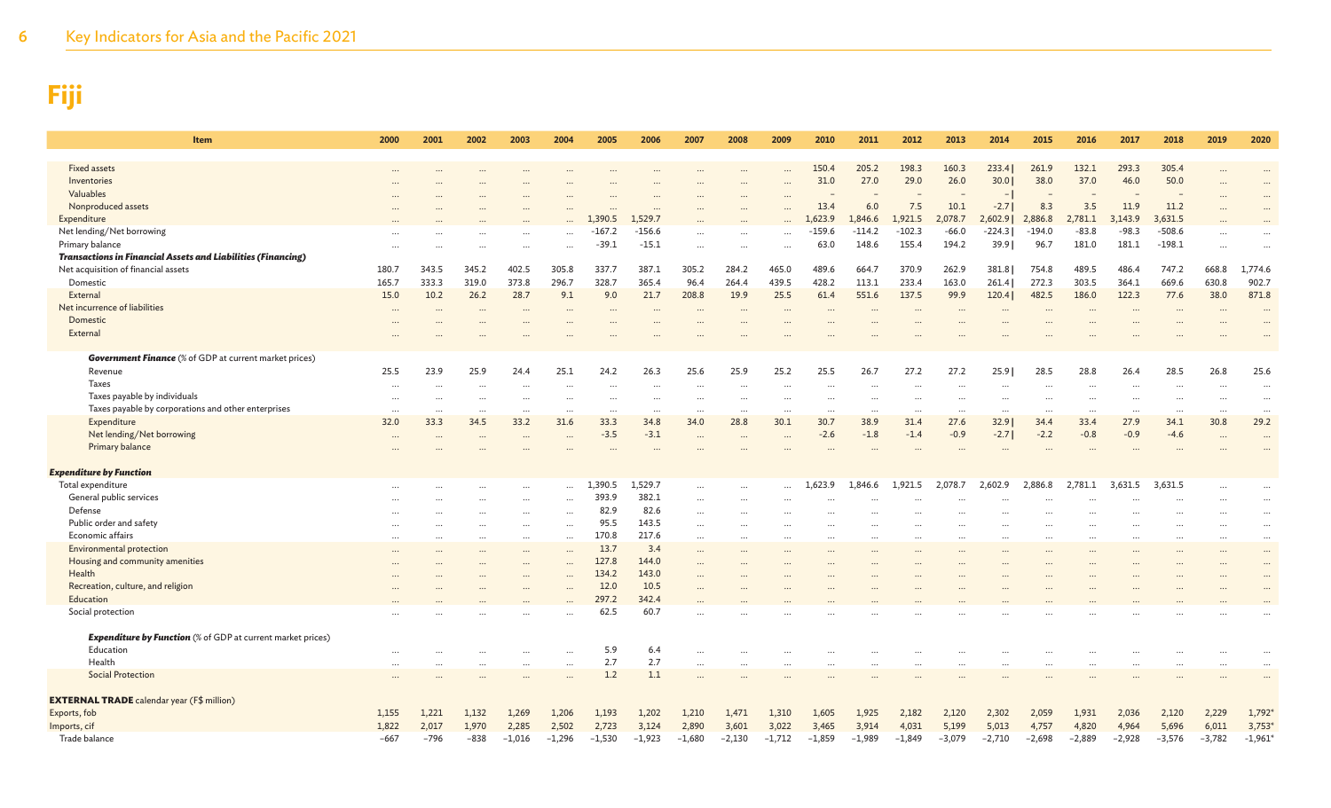| Item                                                                | 2000     | 2001                 | 2002     | 2003      | 2004                 | 2005     | 2006     | 2007      | 2008     | 2009      | 2010     | 2011     | 2012                 | 2013     | 2014                 | 2015     | 2016     | 2017                 | 2018     | 2019      | 2020                 |
|---------------------------------------------------------------------|----------|----------------------|----------|-----------|----------------------|----------|----------|-----------|----------|-----------|----------|----------|----------------------|----------|----------------------|----------|----------|----------------------|----------|-----------|----------------------|
| <b>Fixed assets</b>                                                 |          |                      |          |           |                      |          |          |           |          |           | 150.4    | 205.2    | 198.3                | 160.3    | 233.4                | 261.9    | 132.1    | 293.3                | 305.4    |           |                      |
| Inventories                                                         |          |                      |          |           |                      |          |          |           |          |           | 31.0     | 27.0     | 29.0                 | 26.0     | 30.01                | 38.0     | 37.0     | 46.0                 | 50.0     |           | $\ddotsc$            |
| Valuables                                                           |          |                      |          |           |                      |          |          |           |          | $\ddotsc$ |          |          |                      |          | $\overline{a}$       |          |          |                      |          |           |                      |
| Nonproduced assets                                                  |          |                      |          |           |                      |          |          |           |          |           | 13.4     | 6.0      | 7.5                  | 10.1     | $-2.7$               | 8.3      | 3.5      | 11.9                 | 11.2     | $\cdots$  | $\ddots$             |
| Expenditure                                                         |          |                      |          |           |                      | 1,390.5  | 1.529.7  |           |          |           | .623.9   | 1,846.6  | 1,921.5              | 2,078.7  | 2,602.9              | 2,886.8  | 2,781.1  | 3.143.9              | 3,631.5  |           |                      |
| Net lending/Net borrowing                                           |          |                      |          |           |                      | -167.2   | $-156.6$ |           |          |           | $-159.6$ | $-114.2$ | $-102.3$             | $-66.0$  | $-224.3$             | $-194.0$ | $-83.8$  | $-98.3$              | $-508.6$ | $\cdots$  |                      |
| Primary balance                                                     | $\cdots$ |                      |          |           | $\ddotsc$            | $-39.1$  | $-15.1$  | $\ddots$  |          |           | 63.0     | 148.6    | 155.4                | 194.2    | 39.9                 | 96.7     | 181.0    | 181.1                | $-198.1$ | $\cdots$  |                      |
| <b>Transactions in Financial Assets and Liabilities (Financing)</b> |          |                      |          |           |                      |          |          |           |          |           |          |          |                      |          |                      |          |          |                      |          |           |                      |
| Net acquisition of financial assets                                 | 180.7    | 343.5                | 345.2    | 402.5     | 305.8                | 337.7    | 387.1    | 305.2     | 284.2    | 465.0     | 489.6    | 664.     | 370.9                | 262.9    | 381.8                | 754.8    | 489.5    | 486.4                | 747.2    | 668.8     | 1,774.6              |
| Domestic                                                            | 165.7    | 333.3                | 319.0    | 373.8     | 296.7                | 328.7    | 365.4    | 96.4      | 264.4    | 439.5     | 428.2    | 113.1    | 233.4                | 163.0    | 261.4                | 272.3    | 303.5    | 364.1                | 669.6    | 630.8     | 902.7                |
| External                                                            | 15.0     | 10.2                 | 26.2     | 28.7      | 9.1                  | 9.0      | 21.7     | 208.8     | 19.9     | 25.5      | 61.4     | 551.6    | 137.5                | 99.9     | 120.4                | 482.5    | 186.0    | 122.3                | 77.6     | 38.0      | 871.8                |
| Net incurrence of liabilities                                       | $\cdots$ | $\ddot{\phantom{0}}$ | $\cdots$ | $\ddotsc$ | $\ddot{\phantom{a}}$ | $\ddots$ |          | $\ddotsc$ | $\cdots$ | $\ddotsc$ | $\cdots$ |          | $\ddot{\phantom{a}}$ | $\cdots$ | $\ddot{\phantom{a}}$ | $\cdots$ | $\cdots$ |                      | $\cdots$ |           |                      |
| Domestic                                                            |          |                      |          |           |                      |          |          |           |          |           |          |          |                      |          |                      |          |          |                      |          |           |                      |
| External                                                            |          |                      |          |           |                      |          |          |           |          |           |          |          |                      |          |                      |          |          |                      |          |           |                      |
| <b>Government Finance</b> (% of GDP at current market prices)       |          |                      |          |           |                      |          |          |           |          |           |          |          |                      |          |                      |          |          |                      |          |           |                      |
| Revenue                                                             | 25.5     | 23.9                 | 25.9     | 24.4      | 25.1                 | 24.2     | 26.3     | 25.6      | 25.9     | 25.2      | 25.5     | 26.7     | 27.2                 | 27.2     | 25.9                 | 28.5     | 28.8     | 26.4                 | 28.5     | 26.8      | 25.6                 |
| Taxes                                                               |          |                      |          |           |                      |          |          |           |          |           |          |          |                      |          |                      |          |          |                      |          |           | $\ddot{\phantom{a}}$ |
| Taxes payable by individuals                                        |          |                      |          |           |                      |          |          |           |          |           |          |          |                      |          |                      |          |          |                      |          |           | $\ddotsc$            |
| Taxes payable by corporations and other enterprises                 | $\cdots$ |                      | $\cdots$ | $\cdots$  | $\cdots$             | $\cdots$ | $\cdots$ | $\cdots$  | $\cdots$ | $\cdots$  |          | $\cdots$ | $\cdots$             |          |                      | $\cdots$ |          | $\ddotsc$            |          | $\cdots$  | $\cdots$             |
| Expenditure                                                         | 32.0     | 33.3                 | 34.5     | 33.2      | 31.6                 | 33.3     | 34.8     | 34.0      | 28.8     | 30.1      | 30.7     | 38.9     | 31.4                 | 27.6     | 32.9                 | 34.4     | 33.4     | 27.9                 | 34.1     | 30.8      | 29.2                 |
| Net lending/Net borrowing                                           |          |                      |          | $\ddotsc$ |                      | $-3.5$   | $-3.1$   |           |          | $\cdots$  | $-2.6$   | $-1.8$   | $-1.4$               | $-0.9$   | $-2.71$              | $-2.2$   | $-0.8$   | $-0.9$               | $-4.6$   | $\ddotsc$ | $\ddot{\phantom{a}}$ |
| Primary balance                                                     |          |                      |          |           |                      |          |          |           |          |           |          |          |                      |          |                      |          |          |                      |          |           |                      |
| <b>Expenditure by Function</b>                                      |          |                      |          |           |                      |          |          |           |          |           |          |          |                      |          |                      |          |          |                      |          |           |                      |
| Total expenditure                                                   |          |                      |          | $\cdots$  | .                    | 1,390.5  | 1,529.7  | $\ddotsc$ | $\cdots$ |           | L,623.9  | 1,846.6  | 1,921.5              | 2,078.7  | 2,602.9              | 2,886.8  | 2.781.1  | 3,631.5              | 3,631.5  |           | $\ddotsc$            |
| General public services                                             |          |                      |          |           |                      | 393.9    | 382.1    |           |          |           |          |          |                      |          |                      |          |          |                      |          |           | $\cdot \cdot$        |
| Defense                                                             |          |                      |          | $\cdots$  | $\ddotsc$            | 82.9     | 82.6     | $\ddotsc$ |          |           |          |          |                      |          |                      |          |          |                      |          |           | $\ddots$             |
| Public order and safety                                             |          |                      |          |           | $\ddotsc$            | 95.5     | 143.5    | $\ddotsc$ |          |           |          | $\cdots$ |                      |          |                      |          |          |                      |          | $\cdots$  | $\ldots$             |
| Economic affairs                                                    | $\cdots$ |                      |          |           | $\ddot{\phantom{a}}$ | 170.8    | 217.6    | $\cdots$  | $\cdots$ | $\ddotsc$ |          | $\cdots$ | $\cdots$             |          | $\cdots$             |          |          | $\ddot{\phantom{a}}$ |          | $\cdots$  | $\ddots$             |
| Environmental protection                                            |          |                      |          | $\cdots$  | $\ddotsc$            | 13.7     | 3.4      | $\ddotsc$ |          |           |          | $\cdots$ |                      |          |                      |          |          |                      |          |           | $\cdots$             |
| Housing and community amenities                                     |          |                      |          |           |                      | 127.8    | 144.0    |           |          |           |          |          |                      |          |                      |          |          |                      |          |           | $\ddots$             |
| Health                                                              |          |                      |          |           |                      | 134.2    | 143.0    |           |          |           |          |          |                      |          |                      |          |          |                      |          |           | $\ddots$             |
| Recreation, culture, and religion                                   |          |                      |          | $\cdots$  |                      | 12.0     | 10.5     | $\cdots$  |          |           |          |          |                      |          |                      |          |          |                      |          |           |                      |
| Education                                                           |          |                      |          |           |                      | 297.2    | 342.4    |           |          |           |          |          |                      |          |                      |          |          |                      |          |           |                      |
| Social protection                                                   |          |                      |          |           |                      | 62.5     | 60.7     |           |          |           |          |          |                      |          |                      |          |          |                      |          |           |                      |
| <b>Expenditure by Function</b> (% of GDP at current market prices)  |          |                      |          |           |                      |          |          |           |          |           |          |          |                      |          |                      |          |          |                      |          |           |                      |
| Education                                                           |          |                      |          | $\ddotsc$ |                      | 5.9      | 6.4      | $\ddotsc$ |          |           |          |          |                      |          |                      |          |          |                      |          |           | $\cdot \cdot$        |
| Health                                                              |          |                      |          | $\ddotsc$ |                      | 2.7      | 2.7      | $\ddotsc$ |          |           |          |          |                      |          |                      |          |          |                      |          |           | $\ddotsc$            |
| <b>Social Protection</b>                                            |          |                      |          |           |                      | 1.2      | 1.1      |           |          |           |          |          |                      |          |                      |          |          |                      |          |           |                      |
| <b>EXTERNAL TRADE</b> calendar year (F\$ million)                   |          |                      |          |           |                      |          |          |           |          |           |          |          |                      |          |                      |          |          |                      |          |           |                      |
| Exports, fob                                                        | 1,155    | 1,221                | 1,132    | 1,269     | 1,206                | 1,193    | 1,202    | 1,210     | 1,471    | 1,310     | 1,605    | 1,925    | 2,182                | 2,120    | 2,302                | 2,059    | 1,931    | 2,036                | 2,120    | 2,229     | 1,792                |
| Imports, cif                                                        | 1,822    | 2,017                | 1,970    | 2,285     | 2,502                | 2,723    | 3,124    | 2,890     | 3,601    | 3,022     | 3,465    | 3,914    | 4,031                | 5,199    | 5,013                | 4,757    | 4,820    | 4,964                | 5,696    | 6,011     | 3,753                |
| Trade balance                                                       | $-667$   | $-796$               | $-838$   | $-1,016$  | $-1,296$             | $-1,530$ | $-1,923$ | $-1,680$  | $-2,130$ | $-1,712$  | $-1,859$ | $-1,989$ | $-1,849$             | $-3,079$ | $-2,710$             | $-2,698$ | $-2,889$ | $-2,928$             | $-3,576$ | $-3,782$  | $-1,961$             |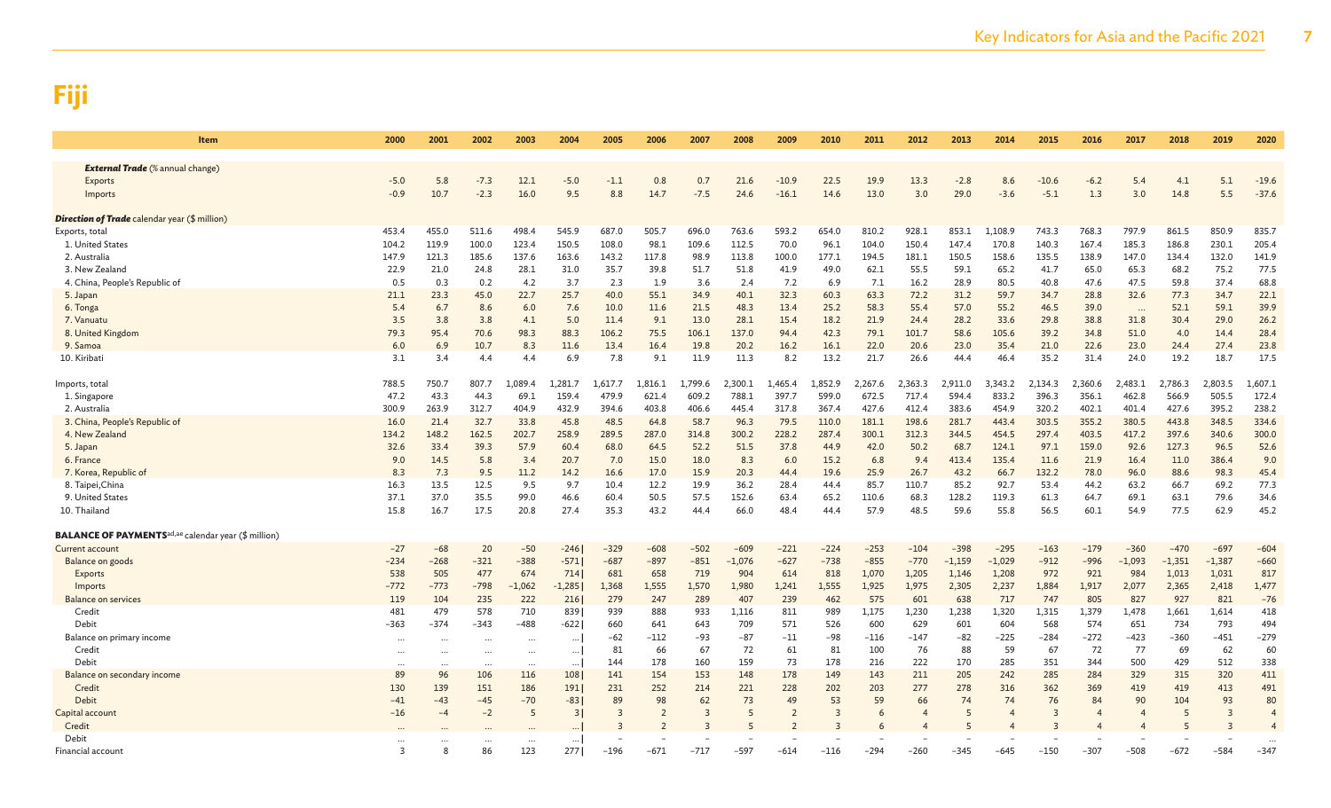| <b>Item</b>                                                             | 2000           | 2001     | 2002     | 2003     | 2004     | 2005    | 2006           | 2007                    | 2008     | 2009           | 2010           | 2011    | 2012           | 2013     | 2014     | 2015                    | 2016           | 2017     | 2018     | 2019     | 2020    |
|-------------------------------------------------------------------------|----------------|----------|----------|----------|----------|---------|----------------|-------------------------|----------|----------------|----------------|---------|----------------|----------|----------|-------------------------|----------------|----------|----------|----------|---------|
| <b>External Trade</b> (% annual change)                                 |                |          |          |          |          |         |                |                         |          |                |                |         |                |          |          |                         |                |          |          |          |         |
| <b>Exports</b>                                                          | $-5.0$         | 5.8      | $-7.3$   | 12.1     | $-5.0$   | $-1.1$  | 0.8            | 0.7                     | 21.6     | $-10.9$        | 22.5           | 19.9    | 13.3           | $-2.8$   | 8.6      | $-10.6$                 | $-6.2$         | 5.4      | 4.1      | 5.1      | $-19.6$ |
| Imports                                                                 | $-0.9$         | 10.7     | $-2.3$   | 16.0     | 9.5      | 8.8     | 14.7           | $-7.5$                  | 24.6     | $-16.1$        | 14.6           | 13.0    | 3.0            | 29.0     | $-3.6$   | $-5.1$                  | 1.3            | 3.0      | 14.8     | 5.5      | $-37.6$ |
| <b>Direction of Trade</b> calendar year (\$ million)                    |                |          |          |          |          |         |                |                         |          |                |                |         |                |          |          |                         |                |          |          |          |         |
| Exports, total                                                          | 453.4          | 455.0    | 511.6    | 498.4    | 545.9    | 687.0   | 505.7          | 696.0                   | 763.6    | 593.2          | 654.0          | 810.2   | 928.1          | 853.1    | 1,108.9  | 743.3                   | 768.3          | 797.9    | 861.5    | 850.9    | 835.7   |
| 1. United States                                                        | 104.2          | 119.9    | 100.0    | 123.4    | 150.5    | 108.0   | 98.1           | 109.6                   | 112.5    | 70.0           | 96.1           | 104.0   | 150.4          | 147.4    | 170.8    | 140.3                   | 167.4          | 185.3    | 186.8    | 230.1    | 205.4   |
| 2. Australia                                                            | 147.9          | 121.3    | 185.6    | 137.6    | 163.6    | 143.2   | 117.8          | 98.9                    | 113.8    | 100.0          | 177.1          | 194.5   | 181.1          | 150.5    | 158.6    | 135.5                   | 138.9          | 147.0    | 134.4    | 132.0    | 141.9   |
| 3. New Zealand                                                          | 22.9           | 21.0     | 24.8     | 28.1     | 31.0     | 35.7    | 39.8           | 51.7                    | 51.8     | 41.9           | 49.0           | 62.1    | 55.5           | 59.1     | 65.2     | 41.7                    | 65.0           | 65.3     | 68.2     | 75.2     | 77.5    |
| 4. China, People's Republic of                                          | 0.5            | 0.3      | 0.2      | 4.2      | 3.7      | 2.3     | 1.9            | 3.6                     | 2.4      | 7.2            | 6.9            | 7.1     | 16.2           | 28.9     | 80.5     | 40.8                    | 47.6           | 47.5     | 59.8     | 37.4     | 68.8    |
| 5. Japan                                                                | 21.1           | 23.3     | 45.0     | 22.7     | 25.7     | 40.0    | 55.1           | 34.9                    | 40.1     | 32.3           | 60.3           | 63.3    | 72.2           | 31.2     | 59.7     | 34.7                    | 28.8           | 32.6     | 77.3     | 34.7     | 22.1    |
| 6. Tonga                                                                | 5.4            | 6.7      | 8.6      | 6.0      | 7.6      | 10.0    | 11.6           | 21.5                    | 48.3     | 13.4           | 25.2           | 58.3    | 55.4           | 57.0     | 55.2     | 46.5                    | 39.0           | $\cdots$ | 52.1     | 59.1     | 39.9    |
| 7. Vanuatu                                                              | 3.5            | 3.8      | 3.8      | 4.1      | 5.0      | 11.4    | 9.1            | 13.0                    | 28.1     | 15.4           | 18.2           | 21.9    | 24.4           | 28.2     | 33.6     | 29.8                    | 38.8           | 31.8     | 30.4     | 29.0     | 26.2    |
| 8. United Kingdom                                                       | 79.3           | 95.4     | 70.6     | 98.3     | 88.3     | 106.2   | 75.5           | 106.1                   | 137.0    | 94.4           | 42.3           | 79.1    | 101.7          | 58.6     | 105.6    | 39.2                    | 34.8           | 51.0     | 4.0      | 14.4     | 28.4    |
| 9. Samoa                                                                | 6.0            | 6.9      | 10.7     | 8.3      | 11.6     | 13.4    | 16.4           | 19.8                    | 20.2     | 16.2           | 16.1           | 22.0    | 20.6           | 23.0     | 35.4     | 21.0                    | 22.6           | 23.0     | 24.4     | 27.4     | 23.8    |
| 10. Kiribati                                                            | 3.1            | 3.4      | 4.4      | 4.4      | 6.9      | 7.8     | 9.1            | 11.9                    | 11.3     | 8.2            | 13.2           | 21.7    | 26.6           | 44.4     | 46.4     | 35.2                    | 31.4           | 24.0     | 19.2     | 18.7     | 17.5    |
| Imports, total                                                          | 788.5          | 750.7    | 807.7    | 1,089.4  | .,281.7  | 1,617.7 | 1,816.1        | ,799.6                  | 2,300.1  | 1,465.4        | ,852.9         | 2,267.6 | 2,363.3        | 2.911.0  | 3,343.2  | 2,134.3                 | 2,360.6        | 2,483.1  | 2,786.3  | ,803.5   | 1,607.1 |
| 1. Singapore                                                            | 47.2           | 43.3     | 44.3     | 69.1     | 159.4    | 479.9   | 621.4          | 609.2                   | 788.1    | 397.7          | 599.0          | 672.5   | 717.4          | 594.4    | 833.2    | 396.3                   | 356.1          | 462.8    | 566.9    | 505.5    | 172.4   |
| 2. Australia                                                            | 300.9          | 263.9    | 312.7    | 404.9    | 432.9    | 394.6   | 403.8          | 406.6                   | 445.4    | 317.8          | 367.4          | 427.6   | 412.4          | 383.6    | 454.9    | 320.2                   | 402.1          | 401.4    | 427.6    | 395.2    | 238.2   |
| 3. China, People's Republic of                                          | 16.0           | 21.4     | 32.7     | 33.8     | 45.8     | 48.5    | 64.8           | 58.7                    | 96.3     | 79.5           | 110.0          | 181.1   | 198.6          | 281.7    | 443.4    | 303.5                   | 355.2          | 380.5    | 443.8    | 348.5    | 334.6   |
| 4. New Zealand                                                          | 134.2          | 148.2    | 162.5    | 202.7    | 258.9    | 289.5   | 287.0          | 314.8                   | 300.2    | 228.2          | 287.4          | 300.1   | 312.3          | 344.5    | 454.5    | 297.4                   | 403.5          | 417.2    | 397.6    | 340.6    | 300.0   |
| 5. Japan                                                                | 32.6           | 33.4     | 39.3     | 57.9     | 60.4     | 68.0    | 64.5           | 52.2                    | 51.5     | 37.8           | 44.9           | 42.0    | 50.2           | 68.7     | 124.1    | 97.1                    | 159.0          | 92.6     | 127.3    | 96.5     | 52.6    |
| 6. France                                                               | 9.0            | 14.5     | 5.8      | 3.4      | 20.7     | 7.0     | 15.0           | 18.0                    | 8.3      | 6.0            | 15.2           | 6.8     | 9.4            | 413.4    | 135.4    | 11.6                    | 21.9           | 16.4     | 11.0     | 386.4    | 9.0     |
| 7. Korea, Republic of                                                   | 8.3            | 7.3      | 9.5      | 11.2     | 14.2     | 16.6    | 17.0           | 15.9                    | 20.3     | 44.4           | 19.6           | 25.9    | 26.7           | 43.2     | 66.7     | 132.2                   | 78.0           | 96.0     | 88.6     | 98.3     | 45.4    |
| 8. Taipei, China                                                        | 16.3           | 13.5     | 12.5     | 9.5      | 9.7      | 10.4    | 12.2           | 19.9                    | 36.2     | 28.4           | 44.4           | 85.7    | 110.7          | 85.2     | 92.7     | 53.4                    | 44.2           | 63.2     | 66.7     | 69.2     | 77.3    |
| 9. United States                                                        | 37.1           | 37.0     | 35.5     | 99.0     | 46.6     | 60.4    | 50.5           | 57.5                    | 152.6    | 63.4           | 65.2           | 110.6   | 68.3           | 128.2    | 119.3    | 61.3                    | 64.7           | 69.1     | 63.1     | 79.6     | 34.6    |
| 10. Thailand                                                            | 15.8           | 16.7     | 17.5     | 20.8     | 27.4     | 35.3    | 43.2           | 44.4                    | 66.0     | 48.4           | 44.4           | 57.9    | 48.5           | 59.6     | 55.8     | 56.5                    | 60.1           | 54.9     | 77.5     | 62.9     | 45.2    |
| <b>BALANCE OF PAYMENTS</b> <sup>ad, ae</sup> calendar year (\$ million) |                |          |          |          |          |         |                |                         |          |                |                |         |                |          |          |                         |                |          |          |          |         |
| Current account                                                         | $-27$          | $-68$    | 20       | $-50$    | $-246$   | $-329$  | $-608$         | $-502$                  | $-609$   | $-221$         | $-224$         | $-253$  | $-104$         | $-398$   | $-295$   | $-163$                  | $-179$         | $-360$   | $-470$   | $-697$   | $-604$  |
| Balance on goods                                                        | $-234$         | $-268$   | $-321$   | $-388$   | $-571$   | $-687$  | $-897$         | $-851$                  | $-1,076$ | $-627$         | $-738$         | $-855$  | $-770$         | $-1,159$ | $-1,029$ | $-912$                  | $-996$         | $-1,093$ | $-1,351$ | $-1,387$ | $-660$  |
| Exports                                                                 | 538            | 505      | 477      | 674      | 714      | 681     | 658            | 719                     | 904      | 614            | 818            | 1,070   | 1,205          | 1,146    | 1,208    | 972                     | 921            | 984      | 1,013    | 1,031    | 817     |
| Imports                                                                 | $-772$         | $-773$   | $-798$   | $-1,062$ | $-1,285$ | 1,368   | 1,555          | 1,570                   | 1,980    | 1,241          | 1,555          | 1,925   | 1,975          | 2,305    | 2,237    | 1,884                   | 1,917          | 2,077    | 2,365    | 2,418    | 1,477   |
| Balance on services                                                     | 119            | 104      | 235      | 222      | 216      | 279     | 247            | 289                     | 407      | 239            | 462            | 575     | 601            | 638      | 717      | 747                     | 805            | 827      | 927      | 821      | $-76$   |
| Credit                                                                  | 481            | 479      | 578      | 710      | 839      | 939     | 888            | 933                     | 1,116    | 811            | 989            | 1,175   | 1,230          | 1,238    | 1,320    | 1,315                   | 1,379          | 1,478    | 1,661    | 1,614    | 418     |
| Debit                                                                   | $-363$         | $-374$   | $-343$   | $-488$   | $-622$   | 660     | 641            | 643                     | 709      | 571            | 526            | 600     | 629            | 601      | 604      | 568                     | 574            | 651      | 734      | 793      | 494     |
| Balance on primary income                                               | $\cdots$       | $\cdots$ | $\cdots$ | $\cdots$ | $\cdots$ | $-62$   | $-112$         | $-93$                   | $-87$    | $-11$          | $-98$          | $-116$  | $-147$         | $-82$    | $-225$   | $-284$                  | $-272$         | $-423$   | $-360$   | $-451$   | $-279$  |
| Credit                                                                  | $\cdots$       |          | $\cdots$ |          | $\cdots$ | 81      | 66             | 67                      | 72       | 61             | 81             | 100     | 76             | 88       | 59       | 67                      | 72             | 77       | 69       | 62       | 60      |
| Debit                                                                   | $\cdots$       | $\cdots$ | $\cdots$ | $\cdots$ | $\cdots$ | 144     | 178            | 160                     | 159      | 73             | 178            | 216     | 222            | 170      | 285      | 351                     | 344            | 500      | 429      | 512      | 338     |
| Balance on secondary income                                             | 89             | 96       | 106      | 116      | 108      | 141     | 154            | 153                     | 148      | 178            | 149            | 143     | 211            | 205      | 242      | 285                     | 284            | 329      | 315      | 320      | 411     |
| Credit                                                                  | 130            | 139      | 151      | 186      | 191      | 231     | 252            | 214                     | 221      | 228            | 202            | 203     | 277            | 278      | 316      | 362                     | 369            | 419      | 419      | 413      | 491     |
| Debit                                                                   | $-41$          | $-43$    | $-45$    | $-70$    | $-831$   | 89      | 98             | 62                      | 73       | 49             | 53             | 59      | 66             | 74       | 74       | 76                      | 84             | 90       | 104      | 93       | 80      |
| Capital account                                                         | $-16$          | $-4$     | $-2$     | 5        | 31       | 3       | $\overline{2}$ | $\overline{\mathbf{3}}$ | 5        | $\overline{2}$ | $\overline{3}$ | 6       | $\overline{4}$ | 5        | 4        | $\overline{3}$          | $\overline{4}$ |          | 5        | 3        |         |
| Credit                                                                  |                |          |          |          |          | 3       | $\overline{2}$ |                         | 5        | $\overline{2}$ |                | 6       |                | 5        |          | $\overline{\mathbf{z}}$ |                |          |          | 3        |         |
| Debit                                                                   |                |          |          |          |          |         |                |                         |          |                |                |         |                |          |          |                         |                |          |          |          |         |
| Financial account                                                       | $\overline{3}$ |          | 86       | 123      | 2771     | $-196$  | $-671$         | $-717$                  | $-597$   | $-614$         | $-116$         | $-294$  | $-260$         | $-345$   | $-645$   | $-150$                  | $-307$         | $-508$   | $-672$   | $-584$   | $-347$  |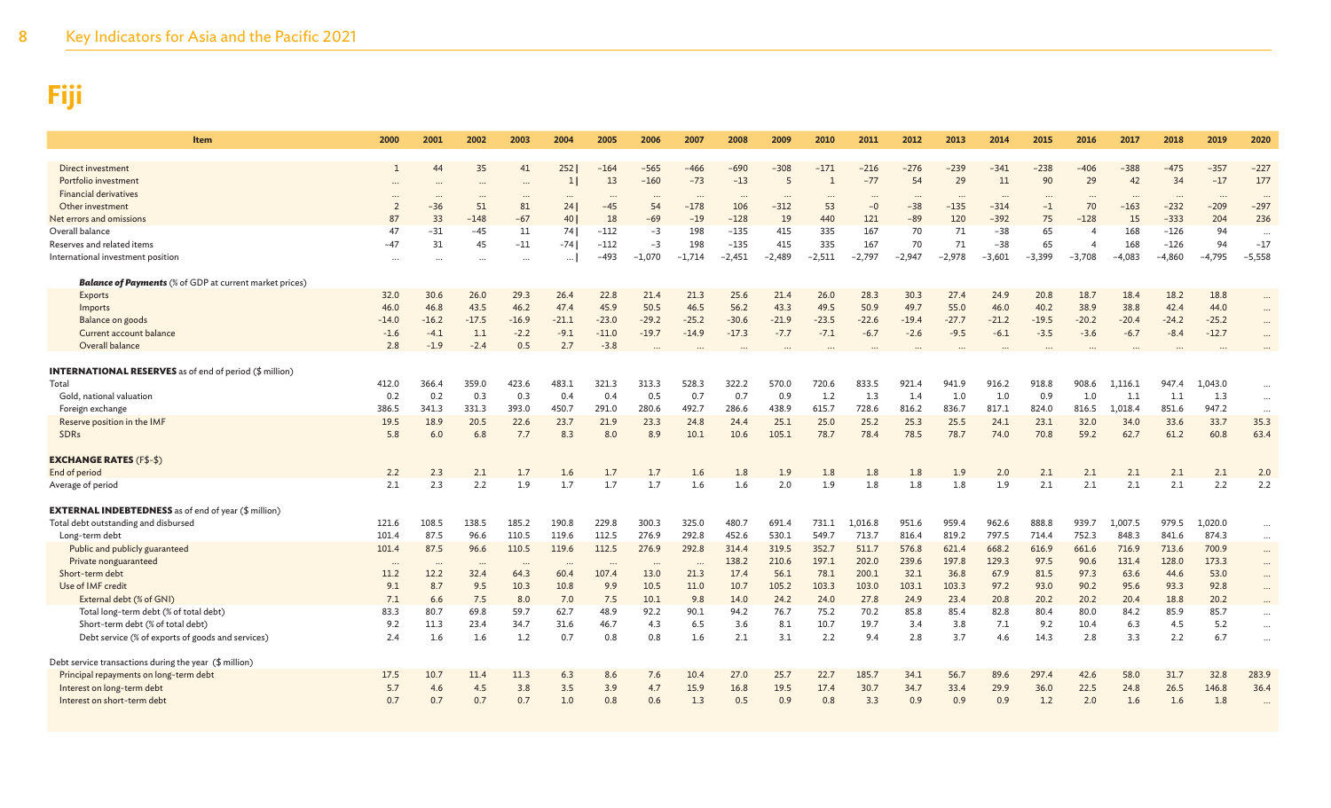| Item                                                           | 2000           | 2001     | 2002     | 2003     | 2004         | 2005     | 2006     | 2007      | 2008     | 2009      | 2010           | 2011     | 2012     | 2013     | 2014                 | 2015     | 2016           | 2017     | 2018     | 2019     | 2020      |
|----------------------------------------------------------------|----------------|----------|----------|----------|--------------|----------|----------|-----------|----------|-----------|----------------|----------|----------|----------|----------------------|----------|----------------|----------|----------|----------|-----------|
| Direct investment                                              |                |          | 35       | 41       | 252          | $-164$   | $-565$   | $-466$    | $-690$   | -308      | $-171$         | $-216$   | $-276$   | $-239$   | -341                 | $-238$   | -406           | $-388$   | $-475$   | -357     | $-227$    |
| Portfolio investment                                           |                |          |          | $\cdots$ | $\mathbf{1}$ | 13       | $-160$   | $-73$     | $-13$    | 5         | $\overline{1}$ | $-77$    | 54       | 29       | 11                   | 90       | 29             | 42       | 34       | $-17$    | 177       |
| <b>Financial derivatives</b>                                   | $\cdots$       |          | $\cdots$ |          | $\cdots$     | $\cdots$ |          | $\cdots$  |          | $\ddotsc$ | $\cdots$       | $\cdots$ | $\cdots$ | $\cdots$ | $\ddot{\phantom{a}}$ |          |                | $\sim$   | $\cdots$ | $\cdots$ | $\cdots$  |
| Other investment                                               | $\overline{2}$ | $-36$    | 51       | 81       | 24           | $-45$    | 54       | $-178$    | 106      | $-312$    | 53             | $-0$     | $-38$    | $-135$   | $-314$               | $-1$     | 70             | $-163$   | $-232$   | $-209$   | $-297$    |
| Net errors and omissions                                       | 87             | 33       | $-148$   | $-67$    | 40           | 18       | $-69$    | $-19$     | $-128$   | 19        | 440            | 121      | $-89$    | 120      | $-392$               | 75       | $-128$         | 15       | $-333$   | 204      | 236       |
| Overall balance                                                | 47             | $-31$    | $-45$    | 11       | 74           | $-112$   | $-3$     | 198       | $-135$   | 415       | 335            | 167      | 70       | 71       | $-38$                | 65       | $\overline{4}$ | 168      | $-126$   | 94       | $\cdots$  |
| Reserves and related items                                     | $-47$          | 31       | 45       | $-11$    | $-741$       | $-112$   | $-3$     | 198       | $-135$   | 415       | 335            | 167      | 70       | 71       | $-38$                | 65       | $\overline{A}$ | 168      | $-126$   | 94       | $-17$     |
| International investment position                              | $\cdots$       | $\cdots$ | $\cdots$ | $\cdots$ | $\cdots$     | $-493$   | $-1,070$ | $-1,714$  | $-2,451$ | $-2,489$  | $-2,511$       | $-2,797$ | $-2,947$ | $-2,978$ | $-3,601$             | $-3,399$ | $-3,708$       | $-4,083$ | $-4,860$ | -4,795   | $-5,558$  |
| <b>Balance of Payments</b> (% of GDP at current market prices) |                |          |          |          |              |          |          |           |          |           |                |          |          |          |                      |          |                |          |          |          |           |
| Exports                                                        | 32.0           | 30.6     | 26.0     | 29.3     | 26.4         | 22.8     | 21.4     | 21.3      | 25.6     | 21.4      | 26.0           | 28.3     | 30.3     | 27.4     | 24.9                 | 20.8     | 18.7           | 18.4     | 18.2     | 18.8     |           |
| Imports                                                        | 46.0           | 46.8     | 43.5     | 46.2     | 47.4         | 45.9     | 50.5     | 46.5      | 56.2     | 43.3      | 49.5           | 50.9     | 49.7     | 55.0     | 46.0                 | 40.2     | 38.9           | 38.8     | 42.4     | 44.0     |           |
| Balance on goods                                               | $-14.0$        | $-16.2$  | $-17.5$  | $-16.9$  | $-21.1$      | $-23.0$  | $-29.2$  | $-25.2$   | $-30.6$  | $-21.9$   | $-23.5$        | $-22.6$  | $-19.4$  | $-27.7$  | $-21.2$              | $-19.5$  | $-20.2$        | $-20.4$  | $-24.2$  | $-25.2$  |           |
| Current account balance                                        | $-1.6$         | $-4.1$   | 1.1      | $-2.2$   | $-9.1$       | $-11.0$  | $-19.7$  | $-14.9$   | $-17.3$  | $-7.7$    | $-7.1$         | $-6.7$   | $-2.6$   | $-9.5$   | $-6.1$               | $-3.5$   | $-3.6$         | $-6.7$   | $-8.4$   | $-12.7$  | $\ddotsc$ |
| Overall balance                                                | 2.8            | $-1.9$   | $-2.4$   | 0.5      | 2.7          | $-3.8$   |          |           |          |           |                |          | $\sim$   |          |                      |          |                |          |          |          |           |
| <b>INTERNATIONAL RESERVES</b> as of end of period (\$ million) |                |          |          |          |              |          |          |           |          |           |                |          |          |          |                      |          |                |          |          |          |           |
| Total                                                          | 412.0          | 366.4    | 359.0    | 423.6    | 483.1        | 321.3    | 313.3    | 528.3     | 322.2    | 570.0     | 720.6          | 833.5    | 921.4    | 941.9    | 916.2                | 918.8    | 908.6          | 1,116.1  | 947.4    | 1,043.0  |           |
| Gold, national valuation                                       | 0.2            | 0.2      | 0.3      | 0.3      | 0.4          | 0.4      | 0.5      | 0.7       | 0.7      | 0.9       | 1.2            | 1.3      | 1.4      | 1.0      | 1.0                  | 0.9      | 1.0            | 1.1      | 1.1      | 1.3      | $\cdots$  |
| Foreign exchange                                               | 386.5          | 341.3    | 331.3    | 393.0    | 450.7        | 291.0    | 280.6    | 492.7     | 286.6    | 438.9     | 615.7          | 728.6    | 816.2    | 836.7    | 817.1                | 824.0    | 816.5          | 1,018.4  | 851.6    | 947.2    | $\cdots$  |
| Reserve position in the IMF                                    | 19.5           | 18.9     | 20.5     | 22.6     | 23.7         | 21.9     | 23.3     | 24.8      | 24.4     | 25.1      | 25.0           | 25.2     | 25.3     | 25.5     | 24.1                 | 23.1     | 32.0           | 34.0     | 33.6     | 33.7     | 35.3      |
| <b>SDRs</b>                                                    | 5.8            | 6.0      | 6.8      | 7.7      | 8.3          | 8.0      | 8.9      | 10.1      | 10.6     | 105.1     | 78.7           | 78.4     | 78.5     | 78.7     | 74.0                 | 70.8     | 59.2           | 62.7     | 61.2     | 60.8     | 63.4      |
| <b>EXCHANGE RATES (F\$-\$)</b>                                 |                |          |          |          |              |          |          |           |          |           |                |          |          |          |                      |          |                |          |          |          |           |
| End of period                                                  | 2.2            | 2.3      | 2.1      | 1.7      | 1.6          | 1.7      | 1.7      | 1.6       | 1.8      | 1.9       | 1.8            | 1.8      | 1.8      | 1.9      | 2.0                  | 2.1      | 2.1            | 2.1      | 2.1      | 2.1      | 2.0       |
| Average of period                                              | 2.1            | 2.3      | 2.2      | 1.9      | 1.7          | 1.7      | 1.7      | 1.6       | 1.6      | 2.0       | 1.9            | 1.8      | 1.8      | 1.8      | 1.9                  | 2.1      | 2.1            | 2.1      | 2.1      | 2.2      | 2.2       |
| <b>EXTERNAL INDEBTEDNESS</b> as of end of year (\$ million)    |                |          |          |          |              |          |          |           |          |           |                |          |          |          |                      |          |                |          |          |          |           |
| Total debt outstanding and disbursed                           | 121.6          | 108.5    | 138.5    | 185.2    | 190.8        | 229.8    | 300.3    | 325.0     | 480.7    | 691.4     | 731.1          | 1,016.8  | 951.6    | 959.4    | 962.6                | 888.8    | 939.7          | 1,007.5  | 979.5    | 1,020.0  | $\cdots$  |
| Long-term debt                                                 | 101.4          | 87.5     | 96.6     | 110.5    | 119.6        | 112.5    | 276.9    | 292.8     | 452.6    | 530.1     | 549.7          | 713.7    | 816.4    | 819.2    | 797.5                | 714.4    | 752.3          | 848.3    | 841.6    | 874.3    | $\cdots$  |
| Public and publicly guaranteed                                 | 101.4          | 87.5     | 96.6     | 110.5    | 119.6        | 112.5    | 276.9    | 292.8     | 314.4    | 319.5     | 352.7          | 511.7    | 576.8    | 621.4    | 668.2                | 616.9    | 661.6          | 716.9    | 713.6    | 700.9    | $\cdots$  |
| Private nonguaranteed                                          | $\cdots$       | $\cdots$ | $\cdots$ | $\cdots$ | $\cdot$ .    | $\cdots$ | $\cdots$ | $\cdot$ . | 138.2    | 210.6     | 197.1          | 202.0    | 239.6    | 197.8    | 129.3                | 97.5     | 90.6           | 131.4    | 128.0    | 173.3    | $\cdots$  |
| Short-term debt                                                | 11.2           | 12.2     | 32.4     | 64.3     | 60.4         | 107.4    | 13.0     | 21.3      | 17.4     | 56.1      | 78.1           | 200.1    | 32.1     | 36.8     | 67.9                 | 81.5     | 97.3           | 63.6     | 44.6     | 53.0     |           |
| Use of IMF credit                                              | 9.1            | 8.7      | 9.5      | 10.3     | 10.8         | 9.9      | 10.5     | 11.0      | 10.7     | 105.2     | 103.3          | 103.0    | 103.1    | 103.3    | 97.2                 | 93.0     | 90.2           | 95.6     | 93.3     | 92.8     |           |
| External debt (% of GNI)                                       | 7.1            | 6.6      | 7.5      | 8.0      | 7.0          | 7.5      | 10.1     | 9.8       | 14.0     | 24.2      | 24.0           | 27.8     | 24.9     | 23.4     | 20.8                 | 20.2     | 20.2           | 20.4     | 18.8     | 20.2     |           |
| Total long-term debt (% of total debt)                         | 83.3           | 80.7     | 69.8     | 59.7     | 62.7         | 48.9     | 92.2     | 90.1      | 94.2     | 76.7      | 75.2           | 70.2     | 85.8     | 85.4     | 82.8                 | 80.4     | 80.0           | 84.2     | 85.9     | 85.7     | $\cdots$  |
| Short-term debt (% of total debt)                              | 9.2            | 11.3     | 23.4     | 34.7     | 31.6         | 46.7     | 4.3      | 6.5       | 3.6      | 8.1       | 10.7           | 19.7     | 3.4      | 3.8      | 7.1                  | 9.2      | 10.4           | 6.3      | 4.5      | 5.2      | $\cdots$  |
| Debt service (% of exports of goods and services)              | 2.4            | 1.6      | 1.6      | 1.2      | 0.7          | 0.8      | 0.8      | 1.6       | 2.1      | 3.1       | 2.2            | 9.4      | 2.8      | 3.7      | 4.6                  | 14.3     | 2.8            | 3.3      | 2.2      | 6.7      | $\cdots$  |
| Debt service transactions during the year (\$ million)         |                |          |          |          |              |          |          |           |          |           |                |          |          |          |                      |          |                |          |          |          |           |
| Principal repayments on long-term debt                         | 17.5           | 10.7     | 11.4     | 11.3     | 6.3          | 8.6      | 7.6      | 10.4      | 27.0     | 25.7      | 22.7           | 185.7    | 34.1     | 56.7     | 89.6                 | 297.4    | 42.6           | 58.0     | 31.7     | 32.8     | 283.9     |
| Interest on long-term debt                                     | 5.7            | 4.6      | 4.5      | 3.8      | 3.5          | 3.9      | 4.7      | 15.9      | 16.8     | 19.5      | 17.4           | 30.7     | 34.7     | 33.4     | 29.9                 | 36.0     | 22.5           | 24.8     | 26.5     | 146.8    | 36.4      |
| Interest on short-term debt                                    | 0.7            | 0.7      | 0.7      | 0.7      | 1.0          | 0.8      | 0.6      | 1.3       | 0.5      | 0.9       | 0.8            | 3.3      | 0.9      | 0.9      | 0.9                  | 1.2      | 2.0            | 1.6      | 1.6      | 1.8      |           |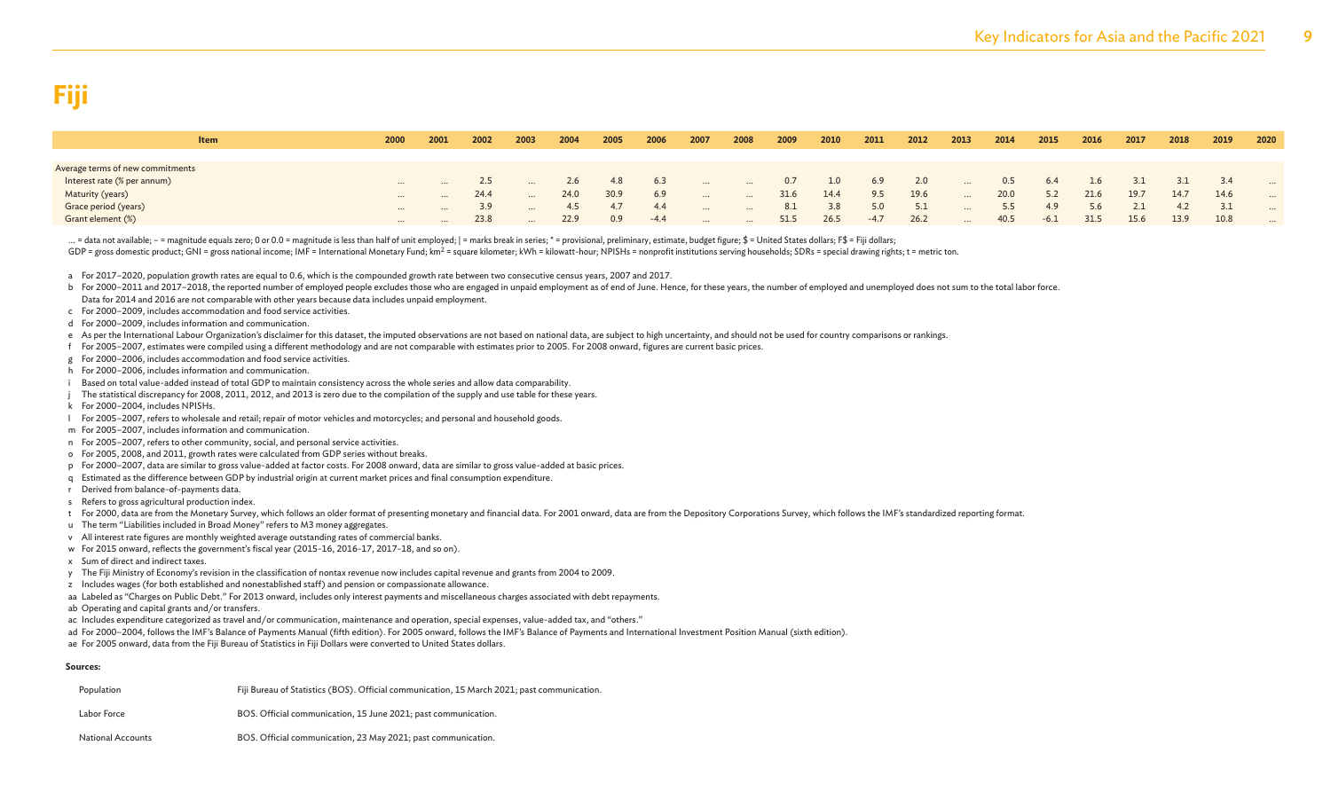| <b>Item</b>                      | 2000     | 2001     | 2002 | 2003     | 2004 | 2005 | 2006   | 2007     | 2008     | 2009 | 2010 | 2011   | 2012 | 2013     | 2014 | 2015   | 2016 | 2017 | 2018 | 2019 | 2020     |
|----------------------------------|----------|----------|------|----------|------|------|--------|----------|----------|------|------|--------|------|----------|------|--------|------|------|------|------|----------|
|                                  |          |          |      |          |      |      |        |          |          |      |      |        |      |          |      |        |      |      |      |      |          |
| Average terms of new commitments |          |          |      |          |      |      |        |          |          |      |      |        |      |          |      |        |      |      |      |      |          |
| Interest rate (% per annum)      | $\cdots$ |          | 2.5  |          |      | 4.8  | 6.3    | $\cdots$ | $\cdots$ | 0.7  | 1.0  | 6.9    | 2.0  | $\cdots$ | 0.5  | 6.4    | 1.6  | 3.1  |      | 3.4  | $\cdots$ |
| Maturity (years)                 | $\cdots$ | $\cdots$ | 24.4 |          | 24.0 | 30.9 | 6.9    | $\cdots$ | $\cdots$ | 31.6 | 14.4 | 9.5    | 19.6 | $\cdots$ | 20.0 | 5.2    | 21.6 | 19.7 | 14.7 | 14.6 | $\cdots$ |
| Grace period (years)             | $\cdots$ | $\cdots$ | 3.9  |          |      | 4.7  | 4.4    | $\cdots$ | $\cdots$ | 8.1  | 3.8  | 5.0    | 5.1  | $\cdots$ | 5.5  | 4.9    | 5.6  |      | 4.2  |      | $\cdots$ |
| Grant element (%)                |          | $\cdots$ | 23.8 | $\cdots$ | 22.9 | 0.9  | $-4.4$ | $\cdots$ | $\cdots$ | 51.5 | 26.5 | $-4.7$ | 26.2 | $\cdots$ | 40.5 | $-6.1$ | 31.5 | 15.6 | 13.9 | 10.8 |          |

... = data not available; - = magnitude equals zero; 0 or 0.0 = magnitude is less than half of unit employed; | = marks break in series; \* = provisional, preliminary, estimate, budget figure; \$ = United States dollars; F\$

GDP = gross domestic product; GNI = gross national income; IMF = International Monetary Fund; km<sup>2</sup> = square kilometer; kWh = kilowatt-hour; NPISHs = nonprofit institutions serving households; SDRs = special drawing rights

a For 2017–2020, population growth rates are equal to 0.6, which is the compounded growth rate between two consecutive census years, 2007 and 2017.

b For 2000-2011 and 2017-2018, the reported number of employed people excludes those who are engaged in unpaid employment as of end of June. Hence, for these years, the number of employed and unemployed does not sum to the Data for 2014 and 2016 are not comparable with other years because data includes unpaid employment.

c For 2000–2009, includes accommodation and food service activities.

d For 2000–2009, includes information and communication.

e As per the International Labour Organization's disclaimer for this dataset, the imputed observations are not based on national data, are subject to high uncertainty, and should not be used for country comparisons or rank

- f For 2005–2007, estimates were compiled using a different methodology and are not comparable with estimates prior to 2005. For 2008 onward, figures are current basic prices.
- g For 2000–2006, includes accommodation and food service activities.
- h For 2000–2006, includes information and communication.
- Based on total value-added instead of total GDP to maintain consistency across the whole series and allow data comparability.
- The statistical discrepancy for 2008, 2011, 2012, and 2013 is zero due to the compilation of the supply and use table for these years.
- k For 2000–2004, includes NPISHs.
- l For 2005–2007, refers to wholesale and retail; repair of motor vehicles and motorcycles; and personal and household goods.
- m For 2005–2007, includes information and communication.
- n For 2005–2007, refers to other community, social, and personal service activities.
- o For 2005, 2008, and 2011, growth rates were calculated from GDP series without breaks.
- p For 2000–2007, data are similar to gross value-added at factor costs. For 2008 onward, data are similar to gross value-added at basic prices.
- q Estimated as the difference between GDP by industrial origin at current market prices and final consumption expenditure.
- r Derived from balance-of-payments data.
- s Refers to gross agricultural production index.
- t For 2000, data are from the Monetary Survey, which follows an older format of presenting monetary and financial data. For 2001 onward, data are from the Depository Corporations Survey, which follows the IMF's standardize
- u The term "Liabilities included in Broad Money" refers to M3 money aggregates.
- v All interest rate figures are monthly weighted average outstanding rates of commercial banks.
- w For 2015 onward, reflects the government's fiscal year (2015-16, 2016-17, 2017-18, and so on).
- x Sum of direct and indirect taxes.
- y The Fiji Ministry of Economy's revision in the classification of nontax revenue now includes capital revenue and grants from 2004 to 2009.
- z Includes wages (for both established and nonestablished staff) and pension or compassionate allowance.
- aa Labeled as "Charges on Public Debt." For 2013 onward, includes only interest payments and miscellaneous charges associated with debt repayments.
- ab Operating and capital grants and/or transfers.
- ac Includes expenditure categorized as travel and/or communication, maintenance and operation, special expenses, value-added tax, and "others."
- ad For 2000-2004, follows the IMF's Balance of Payments Manual (fifth edition). For 2005 onward, follows the IMF's Balance of Payments and International Investment Position Manual (sixth edition).
- ae For 2005 onward, data from the Fiji Bureau of Statistics in Fiji Dollars were converted to United States dollars.

#### **Sources:**

| Population        | Fiji Bureau of Statistics (BOS). Official communication, 15 March 2021; past communication. |
|-------------------|---------------------------------------------------------------------------------------------|
| Labor Force       | BOS. Official communication, 15 June 2021; past communication.                              |
| National Accounts | BOS. Official communication, 23 May 2021; past communication.                               |